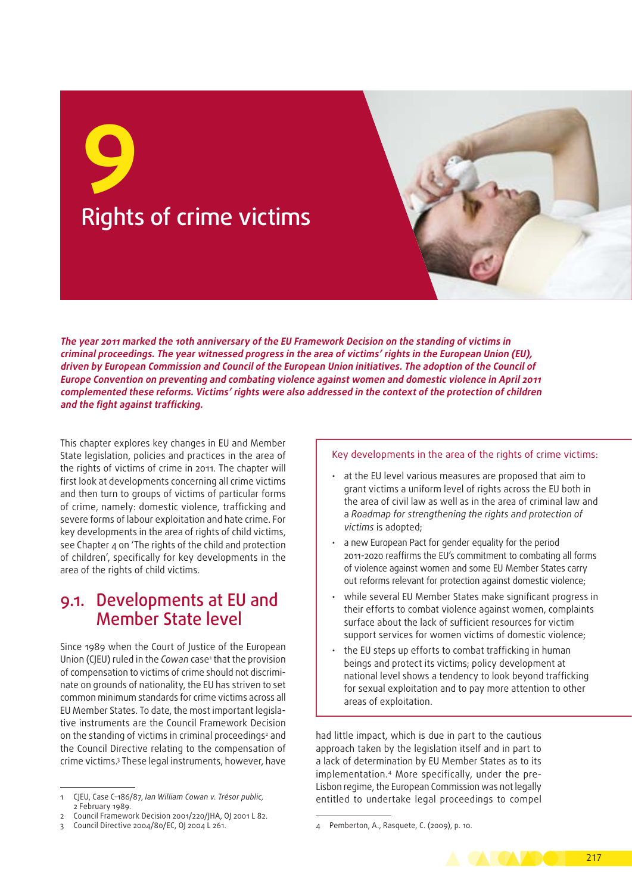

**The year 2011 marked the 10th anniversary of the EU Framework Decision on the standing of victims in criminal proceedings. The year witnessed progress in the area of victims' rights in the European Union (EU), driven by European Commission and Council of the European Union initiatives. The adoption of the Council of Europe Convention on preventing and combating violence against women and domestic violence in April 2011 complemented these reforms. Victims' rights were also addressed in the context of the protection of children and the fight against trafficking.**

This chapter explores key changes in EU and Member State legislation, policies and practices in the area of the rights of victims of crime in 2011. The chapter will first look at developments concerning all crime victims and then turn to groups of victims of particular forms of crime, namely: domestic violence, trafficking and severe forms of labour exploitation and hate crime. For key developments in the area of rights of child victims, see Chapter 4 on 'The rights of the child and protection of children', specifically for key developments in the area of the rights of child victims.

# 9.1. Developments at EU and Member State level

Since 1989 when the Court of Justice of the European Union (CJEU) ruled in the *Cowan* case<sup>,</sup> that the provision of compensation to victims of crime should not discriminate on grounds of nationality, the EU has striven to set common minimum standards for crime victims across all EU Member States. To date, the most important legislative instruments are the Council Framework Decision on the standing of victims in criminal proceedings<sup>2</sup> and the Council Directive relating to the compensation of crime victims.3 These legal instruments, however, have

#### Key developments in the area of the rights of crime victims:

- at the EU level various measures are proposed that aim to grant victims a uniform level of rights across the EU both in the area of civil law as well as in the area of criminal law and a *Roadmap for strengthening the rights and protection of victims* is adopted;
- a new European Pact for gender equality for the period 2011‑2020 reaffirms the EU's commitment to combating all forms of violence against women and some EU Member States carry out reforms relevant for protection against domestic violence;
- while several EU Member States make significant progress in their efforts to combat violence against women, complaints surface about the lack of sufficient resources for victim support services for women victims of domestic violence;
- the EU steps up efforts to combat trafficking in human beings and protect its victims; policy development at national level shows a tendency to look beyond trafficking for sexual exploitation and to pay more attention to other areas of exploitation.

had little impact, which is due in part to the cautious approach taken by the legislation itself and in part to a lack of determination by EU Member States as to its implementation.4 More specifically, under the pre-Lisbon regime, the European Commission was not legally entitled to undertake legal proceedings to compel

<sup>4</sup> Pemberton, A., Rasquete, C. (2009), p. 10.



<sup>1</sup> CJEU, Case C-186/87, *Ian William Cowan v. Trésor public,* 2 February 1989.

<sup>2</sup> Council Framework Decision 2001/220/JHA, OJ 2001 L 82.

<sup>3</sup> Council Directive 2004/80/EC, OJ 2004 L 261.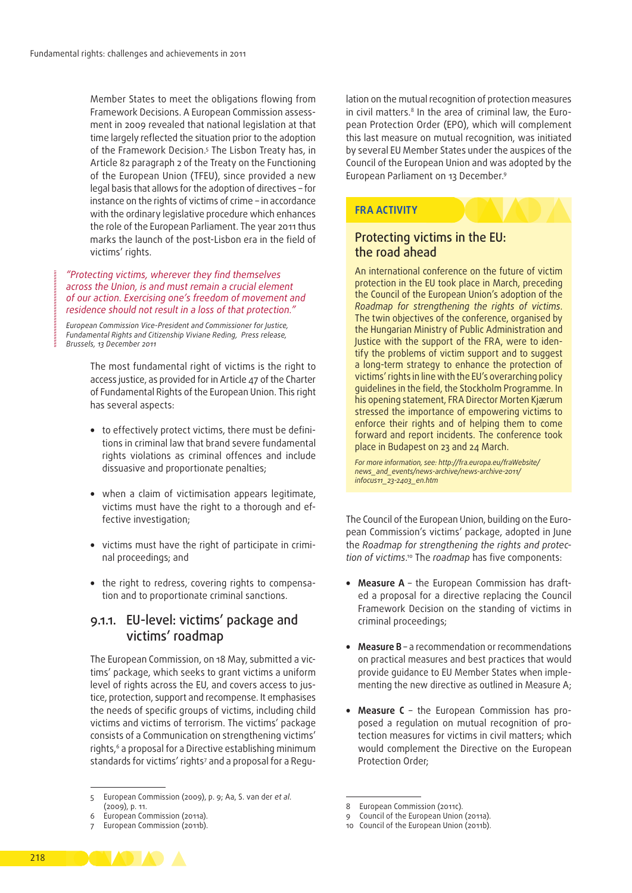Member States to meet the obligations flowing from Framework Decisions. A European Commission assess‑ ment in 2009 revealed that national legislation at that time largely reflected the situation prior to the adoption of the Framework Decision.<sup>5</sup> The Lisbon Treaty has, in Article 82 paragraph 2 of the Treaty on the Functioning of the European Union (TFEU), since provided a new legal basis that allows for the adoption of directives – for instance on the rights of victims of crime – in accordance with the ordinary legislative procedure which enhances the role of the European Parliament. The year 2011 thus marks the launch of the post‑Lisbon era in the field of victims' rights.

*"Protecting victims, wherever they find themselves across the Union, is and must remain a crucial element of our action. Exercising one's freedom of movement and residence should not result in a loss of that protection."*

*European Commission Vice-President and Commissioner for Justice, Fundamental Rights and Citizenship Viviane Reding, Press release, Brussels, 13 December 2011*

> The most fundamental right of victims is the right to access justice, as provided for in Article 47 of the Charter of Fundamental Rights of the European Union. This right has several aspects:

- to effectively protect victims, there must be definitions in criminal law that brand severe fundamental rights violations as criminal offences and include dissuasive and proportionate penalties;
- when a claim of victimisation appears legitimate, victims must have the right to a thorough and effective investigation;
- victims must have the right of participate in criminal proceedings; and
- the right to redress, covering rights to compensation and to proportionate criminal sanctions.

#### 9.1.1. EU‑level: victims' package and victims' roadmap

The European Commission, on 18 May, submitted a victims' package, which seeks to grant victims a uniform level of rights across the EU, and covers access to justice, protection, support and recompense. It emphasises the needs of specific groups of victims, including child victims and victims of terrorism. The victims' package consists of a Communication on strengthening victims' rights,<sup>6</sup> a proposal for a Directive establishing minimum standards for victims' rights<sup>7</sup> and a proposal for a Regulation on the mutual recognition of protection measures in civil matters.<sup>8</sup> In the area of criminal law, the European Protection Order (EPO), which will complement this last measure on mutual recognition, was initiated by several EU Member States under the auspices of the Council of the European Union and was adopted by the European Parliament on 13 December.9

#### **FRA ACTIVITY**

#### Protecting victims in the EU: the road ahead

An international conference on the future of victim protection in the EU took place in March, preceding the Council of the European Union's adoption of the *Roadmap for strengthening the rights of victims*. The twin objectives of the conference, organised by the Hungarian Ministry of Public Administration and Justice with the support of the FRA, were to identify the problems of victim support and to suggest a long-term strategy to enhance the protection of victims' rights in line with the EU's overarching policy guidelines in the field, the Stockholm Programme. In his opening statement, FRA Director Morten Kjærum stressed the importance of empowering victims to enforce their rights and of helping them to come forward and report incidents. The conference took place in Budapest on 23 and 24 March.

*For more information, see: http://fra.europa.eu/fraWebsite/ news\_and\_events/news-archive/news-archive-2011/ infocus11\_23-2403\_en.htm*

The Council of the European Union, building on the European Commission's victims' package, adopted in June the *Roadmap for strengthening the rights and protec‑* tion of victims.<sup>10</sup> The roadmap has five components:

- Measure A the European Commission has drafted a proposal for a directive replacing the Council Framework Decision on the standing of victims in criminal proceedings;
- **Measure B** a recommendation or recommendations on practical measures and best practices that would provide quidance to EU Member States when implementing the new directive as outlined in Measure A;
- **Measure C** the European Commission has proposed a regulation on mutual recognition of protection measures for victims in civil matters; which would complement the Directive on the European Protection Order;



<sup>5</sup> European Commission (2009), p. 9; Aa, S. van der *et al*. (2009), p. 11.

<sup>6</sup> European Commission (2011a).

<sup>7</sup> European Commission (2011b).

<sup>8</sup> European Commission (2011c).

<sup>9</sup> Council of the European Union (2011a).

<sup>10</sup> Council of the European Union (2011b).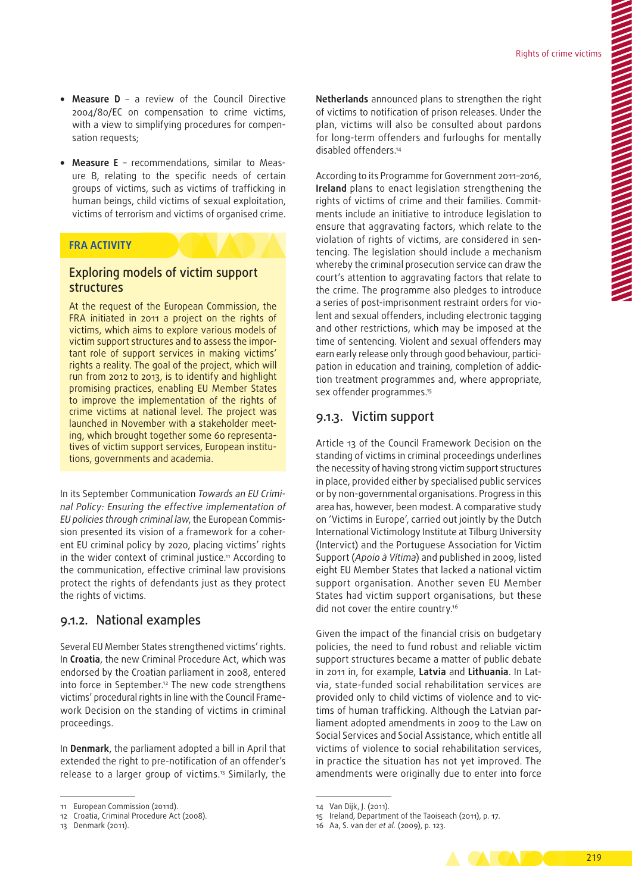- **Measure D** a review of the Council Directive 2004/80/EC on compensation to crime victims, with a view to simplifying procedures for compensation requests;
- Measure E recommendations, similar to Measure B, relating to the specific needs of certain groups of victims, such as victims of trafficking in human beings, child victims of sexual exploitation, victims of terrorism and victims of organised crime.

#### **FRA ACTIVITY**

#### Exploring models of victim support structures

At the request of the European Commission, the FRA initiated in 2011 a project on the rights of victims, which aims to explore various models of victim support structures and to assess the important role of support services in making victims' rights a reality. The goal of the project, which will run from 2012 to 2013, is to identify and highlight promising practices, enabling EU Member States to improve the implementation of the rights of crime victims at national level. The project was launched in November with a stakeholder meeting, which brought together some 60 representatives of victim support services, European institutions, governments and academia.

In its September Communication *Towards an EU Crimi‑ nal Policy: Ensuring the effective implementation of EU policies through criminal law*, the European Commis‑ sion presented its vision of a framework for a coherent EU criminal policy by 2020, placing victims' rights in the wider context of criminal justice.<sup>11</sup> According to the communication, effective criminal law provisions protect the rights of defendants just as they protect the rights of victims.

#### 9.1.2. National examples

Several EU Member States strengthened victims' rights. In **Croatia**, the new Criminal Procedure Act, which was endorsed by the Croatian parliament in 2008, entered into force in September.<sup>12</sup> The new code strengthens victims' procedural rights in line with the Council Framework Decision on the standing of victims in criminal proceedings.

In **Denmark**, the parliament adopted a bill in April that extended the right to pre‑notification of an offender's release to a larger group of victims.13 Similarly, the **Netherlands** announced plans to strengthen the right of victims to notification of prison releases. Under the plan, victims will also be consulted about pardons for long-term offenders and furloughs for mentally disabled offenders.14

According to its Programme for Government 2011–2016, **Ireland** plans to enact legislation strengthening the rights of victims of crime and their families. Commitments include an initiative to introduce legislation to ensure that aggravating factors, which relate to the violation of rights of victims, are considered in sentencing. The legislation should include a mechanism whereby the criminal prosecution service can draw the court's attention to aggravating factors that relate to the crime. The programme also pledges to introduce a series of post-imprisonment restraint orders for violent and sexual offenders, including electronic tagging and other restrictions, which may be imposed at the time of sentencing. Violent and sexual offenders may earn early release only through good behaviour, participation in education and training, completion of addiction treatment programmes and, where appropriate, sex offender programmes.15

#### 9.1.3. Victim support

Article 13 of the Council Framework Decision on the standing of victims in criminal proceedings underlines the necessity of having strong victim support structures in place, provided either by specialised public services or by non‑governmental organisations. Progress in this area has, however, been modest. A comparative study on 'Victims in Europe', carried out jointly by the Dutch International Victimology Institute at Tilburg University (Intervict) and the Portuguese Association for Victim Support (*Apoio à Vítima*) and published in 2009, listed eight EU Member States that lacked a national victim support organisation. Another seven EU Member States had victim support organisations, but these did not cover the entire country.<sup>16</sup>

Given the impact of the financial crisis on budgetary policies, the need to fund robust and reliable victim support structures became a matter of public debate in 2011 in, for example, **Latvia** and **Lithuania**. In Lat‑ via, state‑funded social rehabilitation services are provided only to child victims of violence and to victims of human trafficking. Although the Latvian parliament adopted amendments in 2009 to the Law on Social Services and Social Assistance, which entitle all victims of violence to social rehabilitation services, in practice the situation has not yet improved. The amendments were originally due to enter into force

<sup>16</sup> Aa, S. van der *et al.* (2009), p. 123.



<sup>11</sup> European Commission (2011d).

<sup>12</sup> Croatia, Criminal Procedure Act (2008).

<sup>13</sup> Denmark (2011).

<sup>14</sup> Van Dijk, J. (2011).

<sup>15</sup> Ireland, Department of the Taoiseach (2011), p. 17.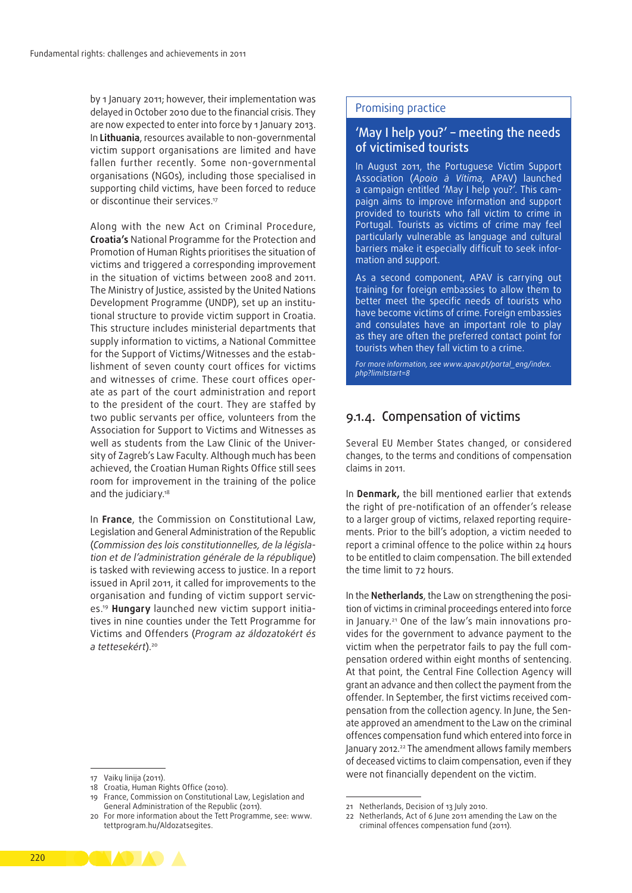by 1 January 2011; however, their implementation was delayed in October 2010 due to the financial crisis. They are now expected to enter into force by 1 January 2013. In **Lithuania**, resources available to non‑governmental victim support organisations are limited and have fallen further recently. Some non‑governmental organisations (NGOs), including those specialised in supporting child victims, have been forced to reduce or discontinue their services.<sup>17</sup>

Along with the new Act on Criminal Procedure, **Croatia's** National Programme for the Protection and Promotion of Human Rights prioritises the situation of victims and triggered a corresponding improvement in the situation of victims between 2008 and 2011. The Ministry of Justice, assisted by the United Nations Development Programme (UNDP), set up an institutional structure to provide victim support in Croatia. This structure includes ministerial departments that supply information to victims, a National Committee for the Support of Victims/Witnesses and the establishment of seven county court offices for victims and witnesses of crime. These court offices operate as part of the court administration and report to the president of the court. They are staffed by two public servants per office, volunteers from the Association for Support to Victims and Witnesses as well as students from the Law Clinic of the University of Zagreb's Law Faculty. Although much has been achieved, the Croatian Human Rights Office still sees room for improvement in the training of the police and the judiciary.<sup>18</sup>

In **France**, the Commission on Constitutional Law, Legislation and General Administration of the Republic (*Commission des lois constitutionnelles, de la législa‑ tion et de l'administration générale de la république*) is tasked with reviewing access to justice. In a report issued in April 2011, it called for improvements to the organisation and funding of victim support services.19 **Hungary** launched new victim support initia‑ tives in nine counties under the Tett Programme for Victims and Offenders (*Program az áldozatokért és a tettesekért*).20

#### 17 Vaikų linija (2011).

- 18 Croatia, Human Rights Office (2010).
- 19 France, Commission on Constitutional Law, Legislation and General Administration of the Republic (2011).

#### Promising practice

#### 'May I help you?' – meeting the needs of victimised tourists

In August 2011, the Portuguese Victim Support Association (*Apoio à Vítima,* APAV) launched a campaign entitled 'May I help you?'. This cam‑ paign aims to improve information and support provided to tourists who fall victim to crime in Portugal. Tourists as victims of crime may feel particularly vulnerable as language and cultural barriers make it especially difficult to seek information and support.

As a second component, APAV is carrying out training for foreign embassies to allow them to better meet the specific needs of tourists who have become victims of crime. Foreign embassies and consulates have an important role to play as they are often the preferred contact point for tourists when they fall victim to a crime.

*For more information, see [www.apav.pt/portal\\_eng/index.](http://www.apav.pt/portal_eng/index.php?limitstart=8) [php?limitstart=8](http://www.apav.pt/portal_eng/index.php?limitstart=8)*

#### 9.1.4. Compensation of victims

Several EU Member States changed, or considered changes, to the terms and conditions of compensation claims in 2011.

In **Denmark,** the bill mentioned earlier that extends the right of pre‑notification of an offender's release to a larger group of victims, relaxed reporting requirements. Prior to the bill's adoption, a victim needed to report a criminal offence to the police within 24 hours to be entitled to claim compensation. The bill extended the time limit to 72 hours.

In the **Netherlands**, the Law on strengthening the position of victims in criminal proceedings entered into force in January.<sup>21</sup> One of the law's main innovations provides for the government to advance payment to the victim when the perpetrator fails to pay the full compensation ordered within eight months of sentencing. At that point, the Central Fine Collection Agency will grant an advance and then collect the payment from the offender. In September, the first victims received compensation from the collection agency. In June, the Sen‑ ate approved an amendment to the Law on the criminal offences compensation fund which entered into force in January 2012.<sup>22</sup> The amendment allows family members of deceased victims to claim compensation, even if they were not financially dependent on the victim.



<sup>20</sup> For more information about the Tett Programme, see: [www.](http://www.tettprogram.hu/Aldozatsegites.) [tettprogram.hu/Aldozatsegites.](http://www.tettprogram.hu/Aldozatsegites.)

<sup>21</sup> Netherlands, Decision of 13 July 2010.

<sup>22</sup> Netherlands, Act of 6 June 2011 amending the Law on the criminal offences compensation fund (2011).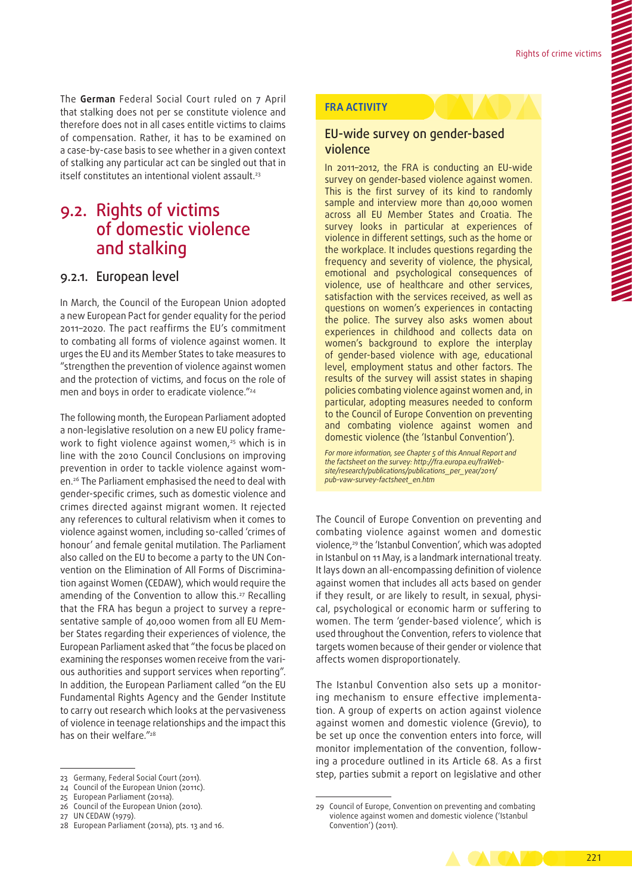The **German** Federal Social Court ruled on 7 April that stalking does not per se constitute violence and therefore does not in all cases entitle victims to claims of compensation. Rather, it has to be examined on a case‑by‑case basis to see whether in a given context of stalking any particular act can be singled out that in itself constitutes an intentional violent assault.<sup>23</sup>

# 9.2. Rights of victims of domestic violence and stalking

#### 9.2.1. European level

In March, the Council of the European Union adopted a new European Pact for gender equality for the period 2011–2020. The pact reaffirms the EU's commitment to combating all forms of violence against women. It urges the EU and its Member States to take measures to "strengthen the prevention of violence against women and the protection of victims, and focus on the role of men and boys in order to eradicate violence."<sup>24</sup>

The following month, the European Parliament adopted a non-legislative resolution on a new EU policy framework to fight violence against women,<sup>25</sup> which is in line with the 2010 Council Conclusions on improving prevention in order to tackle violence against women.26 The Parliament emphasised the need to deal with gender‑specific crimes, such as domestic violence and crimes directed against migrant women. It rejected any references to cultural relativism when it comes to violence against women, including so‑called 'crimes of honour' and female genital mutilation. The Parliament also called on the EU to become a party to the UN Convention on the Elimination of All Forms of Discrimina‑ tion against Women (CEDAW), which would require the amending of the Convention to allow this.<sup>27</sup> Recalling that the FRA has begun a project to survey a repre‑ sentative sample of 40,000 women from all EU Member States regarding their experiences of violence, the European Parliament asked that "the focus be placed on examining the responses women receive from the various authorities and support services when reporting". In addition, the European Parliament called "on the EU Fundamental Rights Agency and the Gender Institute to carry out research which looks at the pervasiveness of violence in teenage relationships and the impact this has on their welfare."<sup>28</sup>

#### **FRA ACTIVITY**

#### EU‑wide survey on gender‑based violence

In 2011–2012, the FRA is conducting an EU‑wide survey on gender-based violence against women. This is the first survey of its kind to randomly sample and interview more than 40,000 women across all EU Member States and Croatia. The survey looks in particular at experiences of violence in different settings, such as the home or the workplace. It includes questions regarding the frequency and severity of violence, the physical, emotional and psychological consequences of violence, use of healthcare and other services, satisfaction with the services received, as well as questions on women's experiences in contacting the police. The survey also asks women about experiences in childhood and collects data on women's background to explore the interplay of gender‑based violence with age, educational level, employment status and other factors. The results of the survey will assist states in shaping policies combating violence against women and, in particular, adopting measures needed to conform to the Council of Europe Convention on preventing and combating violence against women and domestic violence (the 'Istanbul Convention').

*For more information, see Chapter 5 of this Annual Report and the factsheet on the survey: [http://fra.europa.eu/fraWeb‑](http://fra.europa.eu/fraWebsite/research/publications/publications_per_year/2011/pub-vaw-survey-factsheet_en.htm) [site/research/publications/publications\\_per\\_year/2011/](http://fra.europa.eu/fraWebsite/research/publications/publications_per_year/2011/pub-vaw-survey-factsheet_en.htm) [pub‑vaw‑survey‑factsheet\\_en.htm](http://fra.europa.eu/fraWebsite/research/publications/publications_per_year/2011/pub-vaw-survey-factsheet_en.htm)*

The Council of Europe Convention on preventing and combating violence against women and domestic violence,29 the 'Istanbul Convention', which was adopted in Istanbul on 11 May, is a landmark international treaty. It lays down an all‑encompassing definition of violence against women that includes all acts based on gender if they result, or are likely to result, in sexual, physical, psychological or economic harm or suffering to women. The term 'gender-based violence', which is used throughout the Convention, refers to violence that targets women because of their gender or violence that affects women disproportionately.

The Istanbul Convention also sets up a monitoring mechanism to ensure effective implementation. A group of experts on action against violence against women and domestic violence (Grevio), to be set up once the convention enters into force, will monitor implementation of the convention, following a procedure outlined in its Article 68. As a first step, parties submit a report on legislative and other

<sup>29</sup> Council of Europe, Convention on preventing and combating violence against women and domestic violence ('Istanbul Convention') (2011).



<sup>23</sup> Germany, Federal Social Court (2011).

<sup>24</sup> Council of the European Union (2011c).

<sup>25</sup> European Parliament (2011a).

<sup>26</sup> Council of the European Union (2010).

<sup>27</sup> UN CEDAW (1979).

<sup>28</sup> European Parliament (2011a), pts. 13 and 16.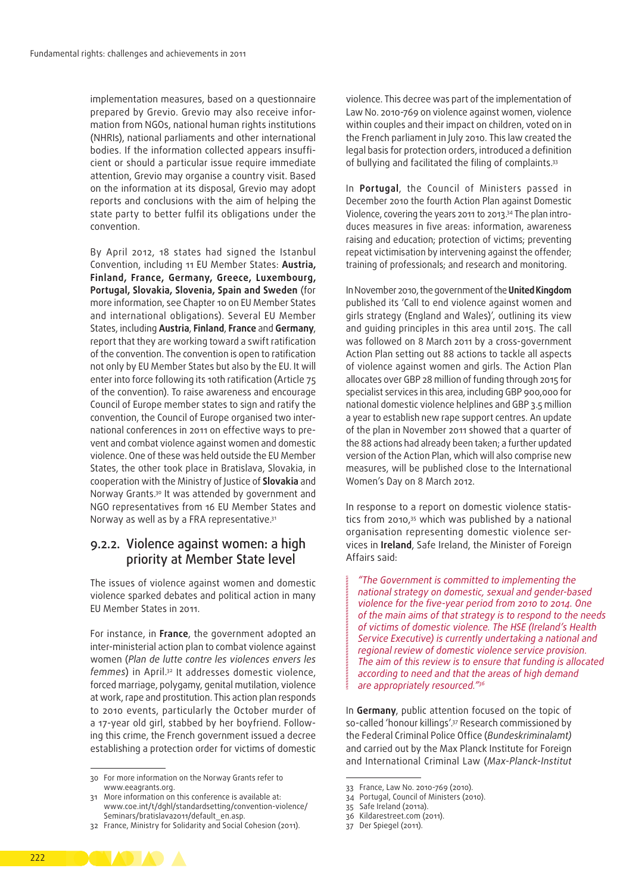implementation measures, based on a questionnaire prepared by Grevio. Grevio may also receive information from NGOs, national human rights institutions (NHRIs), national parliaments and other international bodies. If the information collected appears insufficient or should a particular issue require immediate attention, Grevio may organise a country visit. Based on the information at its disposal, Grevio may adopt reports and conclusions with the aim of helping the state party to better fulfil its obligations under the convention.

By April 2012, 18 states had signed the Istanbul Convention, including 11 EU Member States: **Austria, Finland, France, Germany, Greece, Luxembourg, Portugal, Slovakia, Slovenia, Spain and Sweden** (for more information, see Chapter 10 on EU Member States and international obligations). Several EU Member States, including **Austria**, **Finland**, **France** and **Germany**, report that they are working toward a swift ratification of the convention. The convention is open to ratification not only by EU Member States but also by the EU. It will enter into force following its 10th ratification (Article 75 of the convention). To raise awareness and encourage Council of Europe member states to sign and ratify the convention, the Council of Europe organised two international conferences in 2011 on effective ways to prevent and combat violence against women and domestic violence. One of these was held outside the EU Member States, the other took place in Bratislava, Slovakia, in cooperation with the Ministry of Justice of **Slovakia** and Norway Grants.30 It was attended by government and NGO representatives from 16 EU Member States and Norway as well as by a FRA representative.<sup>31</sup>

#### 9.2.2. Violence against women: a high priority at Member State level

The issues of violence against women and domestic violence sparked debates and political action in many EU Member States in 2011.

For instance, in **France**, the government adopted an inter‑ministerial action plan to combat violence against women (*Plan de lutte contre les violences envers les femmes*) in April.32 It addresses domestic violence, forced marriage, polygamy, genital mutilation, violence at work, rape and prostitution. This action plan responds to 2010 events, particularly the October murder of a 17-year old girl, stabbed by her boyfriend. Following this crime, the French government issued a decree establishing a protection order for victims of domestic

violence. This decree was part of the implementation of Law No. 2010-769 on violence against women, violence within couples and their impact on children, voted on in the French parliament in July 2010. This law created the legal basis for protection orders, introduced a definition of bullying and facilitated the filing of complaints.33

In **Portugal**, the Council of Ministers passed in December 2010 the fourth Action Plan against Domestic Violence, covering the years 2011 to 2013.<sup>34</sup> The plan introduces measures in five areas: information, awareness raising and education; protection of victims; preventing repeat victimisation by intervening against the offender; training of professionals; and research and monitoring.

In November 2010, the government of the **United Kingdom** published its 'Call to end violence against women and girls strategy (England and Wales)', outlining its view and guiding principles in this area until 2015. The call was followed on 8 March 2011 by a cross-government Action Plan setting out 88 actions to tackle all aspects of violence against women and girls. The Action Plan allocates over GBP 28 million of funding through 2015 for specialist services in this area, including GBP 900,000 for national domestic violence helplines and GBP 3.5 million a year to establish new rape support centres. An update of the plan in November 2011 showed that a quarter of the 88 actions had already been taken; a further updated version of the Action Plan, which will also comprise new measures, will be published close to the International Women's Day on 8 March 2012.

In response to a report on domestic violence statistics from 2010,35 which was published by a national organisation representing domestic violence services in **Ireland**, Safe Ireland, the Minister of Foreign Affairs said:

*"The Government is committed to implementing the national strategy on domestic, sexual and gender‑based violence for the five‑year period from 2010 to 2014. One of the main aims of that strategy is to respond to the needs of victims of domestic violence. The HSE (Ireland's Health Service Executive) is currently undertaking a national and regional review of domestic violence service provision. The aim of this review is to ensure that funding is allocated according to need and that the areas of high demand are appropriately resourced."36*

In **Germany**, public attention focused on the topic of so-called 'honour killings'.<sup>37</sup> Research commissioned by the Federal Criminal Police Office (*Bundeskriminalamt)* and carried out by the Max Planck Institute for Foreign and International Criminal Law (*Max‑Planck‑Institut* 

<sup>30</sup> For more information on the Norway Grants refer to [www.eeagrants.org](http://www.eeagrants.org).

<sup>31</sup> More information on this conference is available at: www.coe.int/t/dghl/standardsetting/convention-violence/ [Seminars/bratislava2011/default\\_en.asp](http://www.coe.int/t/dghl/standardsetting/convention<2011>violence/Seminars/bratislava2011/default_en.asp).

<sup>32</sup> France, Ministry for Solidarity and Social Cohesion (2011).

<sup>33</sup> France, Law No. 2010-769 (2010).

<sup>34</sup> Portugal, Council of Ministers (2010).

<sup>35</sup> Safe Ireland (2011a).

<sup>36</sup> Kildarestreet.com (2011).

<sup>37</sup> Der Spiegel (2011).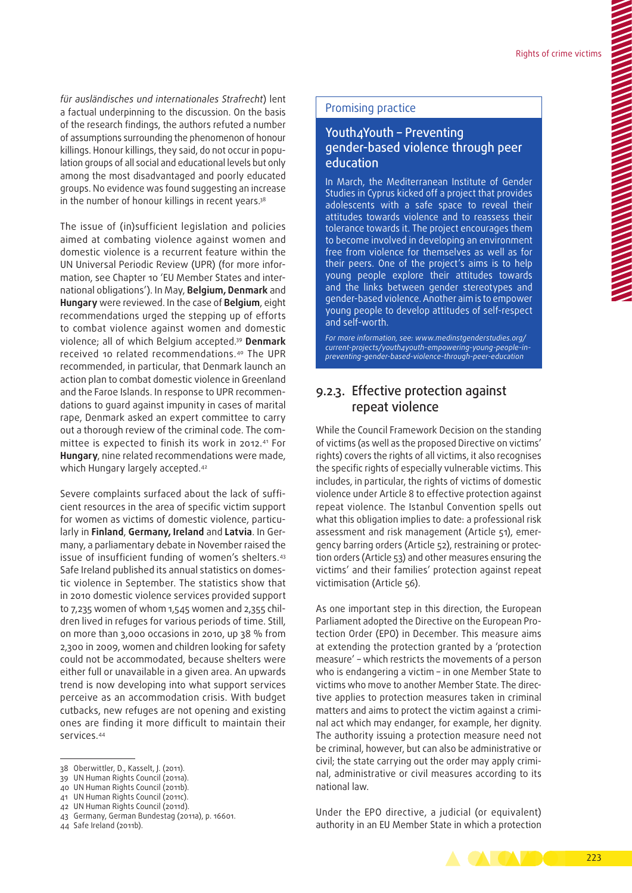*für ausländisches und internationales Strafrecht*) lent a factual underpinning to the discussion. On the basis of the research findings, the authors refuted a number of assumptions surrounding the phenomenon of honour killings. Honour killings, they said, do not occur in population groups of all social and educational levels but only among the most disadvantaged and poorly educated groups. No evidence was found suggesting an increase in the number of honour killings in recent years.<sup>38</sup>

The issue of (in)sufficient legislation and policies aimed at combating violence against women and domestic violence is a recurrent feature within the UN Universal Periodic Review (UPR) (for more infor‑ mation, see Chapter 10 'EU Member States and international obligations'). In May, **Belgium, Denmark** and **Hungary** were reviewed. In the case of **Belgium**, eight recommendations urged the stepping up of efforts to combat violence against women and domestic violence; all of which Belgium accepted.39 **Denmark** received 10 related recommendations.40 The UPR recommended, in particular, that Denmark launch an action plan to combat domestic violence in Greenland and the Faroe Islands. In response to UPR recommendations to guard against impunity in cases of marital rape, Denmark asked an expert committee to carry out a thorough review of the criminal code. The committee is expected to finish its work in 2012.41 For **Hungary**, nine related recommendations were made, which Hungary largely accepted.<sup>42</sup>

Severe complaints surfaced about the lack of sufficient resources in the area of specific victim support for women as victims of domestic violence, particularly in **Finland**, **Germany, Ireland** and **Latvia**. In Ger‑ many, a parliamentary debate in November raised the issue of insufficient funding of women's shelters.43 Safe Ireland published its annual statistics on domestic violence in September. The statistics show that in 2010 domestic violence services provided support to 7,235 women of whom 1,545 women and 2,355 children lived in refuges for various periods of time. Still, on more than 3,000 occasions in 2010, up 38 % from 2,300 in 2009, women and children looking for safety could not be accommodated, because shelters were either full or unavailable in a given area. An upwards trend is now developing into what support services perceive as an accommodation crisis. With budget cutbacks, new refuges are not opening and existing ones are finding it more difficult to maintain their services.44

41 UN Human Rights Council (2011c).

#### Promising practice

#### Youth4Youth – Preventing gender‑based violence through peer education

In March, the Mediterranean Institute of Gender Studies in Cyprus kicked off a project that provides adolescents with a safe space to reveal their attitudes towards violence and to reassess their tolerance towards it. The project encourages them to become involved in developing an environment free from violence for themselves as well as for their peers. One of the project's aims is to help young people explore their attitudes towards and the links between gender stereotypes and gender‑based violence. Another aim is to empower young people to develop attitudes of self‑respect and self‑worth.

*For more information, see: [www.medinstgenderstudies.org/](http://www.medinstgenderstudies.org/current-projects/youth4youth-empowering-young-people-in-preventing-gender-based-violence-through-peer-education) [current-projects/youth4youth-empowering-young-people-in](http://www.medinstgenderstudies.org/current-projects/youth4youth-empowering-young-people-in-preventing-gender-based-violence-through-peer-education)[preventing-gender-based-violence-through-peer-education](http://www.medinstgenderstudies.org/current-projects/youth4youth-empowering-young-people-in-preventing-gender-based-violence-through-peer-education)*

#### 9.2.3. Effective protection against repeat violence

While the Council Framework Decision on the standing of victims (as well as the proposed Directive on victims' rights) covers the rights of all victims, it also recognises the specific rights of especially vulnerable victims. This includes, in particular, the rights of victims of domestic violence under Article 8 to effective protection against repeat violence. The Istanbul Convention spells out what this obligation implies to date: a professional risk assessment and risk management (Article 51), emergency barring orders (Article 52), restraining or protection orders (Article 53) and other measures ensuring the victims' and their families' protection against repeat victimisation (Article 56).

As one important step in this direction, the European Parliament adopted the Directive on the European Protection Order (EPO) in December. This measure aims at extending the protection granted by a 'protection measure' – which restricts the movements of a person who is endangering a victim – in one Member State to victims who move to another Member State. The directive applies to protection measures taken in criminal matters and aims to protect the victim against a criminal act which may endanger, for example, her dignity. The authority issuing a protection measure need not be criminal, however, but can also be administrative or civil; the state carrying out the order may apply criminal, administrative or civil measures according to its national law.

Under the EPO directive, a judicial (or equivalent) authority in an EU Member State in which a protection



<sup>38</sup> Oberwittler, D., Kasselt, J. (2011).

<sup>39</sup> UN Human Rights Council (2011a).

<sup>40</sup> UN Human Rights Council (2011b).

<sup>42</sup> UN Human Rights Council (2011d).

<sup>43</sup> Germany, German Bundestag (2011a), p. 16601.

<sup>44</sup> Safe Ireland (2011b).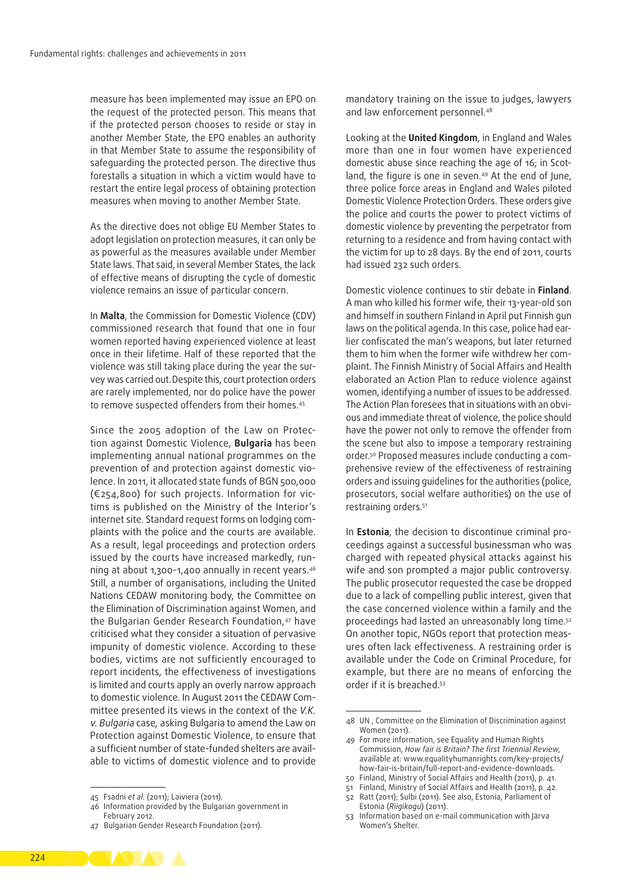measure has been implemented may issue an EPO on the request of the protected person. This means that if the protected person chooses to reside or stay in another Member State, the EPO enables an authority in that Member State to assume the responsibility of safeguarding the protected person. The directive thus forestalls a situation in which a victim would have to restart the entire legal process of obtaining protection measures when moving to another Member State.

As the directive does not oblige EU Member States to adopt legislation on protection measures, it can only be as powerful as the measures available under Member State laws. That said, in several Member States, the lack of effective means of disrupting the cycle of domestic violence remains an issue of particular concern.

In **Malta**, the Commission for Domestic Violence (CDV) commissioned research that found that one in four women reported having experienced violence at least once in their lifetime. Half of these reported that the violence was still taking place during the year the survey was carried out.Despite this, court protection orders are rarely implemented, nor do police have the power to remove suspected offenders from their homes.<sup>45</sup>

Since the 2005 adoption of the Law on Protection against Domestic Violence, **Bulgaria** has been implementing annual national programmes on the prevention of and protection against domestic violence. In 2011, it allocated state funds of BGN 500,000 (€254,800) for such projects. Information for vic‑ tims is published on the Ministry of the Interior's internet site. Standard request forms on lodging complaints with the police and the courts are available. As a result, legal proceedings and protection orders issued by the courts have increased markedly, running at about 1,300-1,400 annually in recent years.46 Still, a number of organisations, including the United Nations CEDAW monitoring body, the Committee on the Elimination of Discrimination against Women, and the Bulgarian Gender Research Foundation,<sup>47</sup> have criticised what they consider a situation of pervasive impunity of domestic violence. According to these bodies, victims are not sufficiently encouraged to report incidents, the effectiveness of investigations is limited and courts apply an overly narrow approach to domestic violence. In August 2011 the CEDAW Committee presented its views in the context of the *V.K. v. Bulgaria* case*,* asking Bulgaria to amend the Law on Protection against Domestic Violence, to ensure that a sufficient number of state-funded shelters are available to victims of domestic violence and to provide

mandatory training on the issue to judges, lawyers and law enforcement personnel.<sup>48</sup>

Looking at the **United Kingdom**, in England and Wales more than one in four women have experienced domestic abuse since reaching the age of 16; in Scotland, the figure is one in seven.<sup>49</sup> At the end of June, three police force areas in England and Wales piloted Domestic Violence Protection Orders. These orders give the police and courts the power to protect victims of domestic violence by preventing the perpetrator from returning to a residence and from having contact with the victim for up to 28 days. By the end of 2011, courts had issued 232 such orders.

Domestic violence continues to stir debate in **Finland**. A man who killed his former wife, their 13-year‑old son and himself in southern Finland in April put Finnish gun laws on the political agenda. In this case, police had earlier confiscated the man's weapons, but later returned them to him when the former wife withdrew her complaint. The Finnish Ministry of Social Affairs and Health elaborated an Action Plan to reduce violence against women, identifying a number of issues to be addressed. The Action Plan foresees that in situations with an obvious and immediate threat of violence, the police should have the power not only to remove the offender from the scene but also to impose a temporary restraining order.<sup>50</sup> Proposed measures include conducting a comprehensive review of the effectiveness of restraining orders and issuing guidelines for the authorities (police, prosecutors, social welfare authorities) on the use of restraining orders.51

In **Estonia**, the decision to discontinue criminal proceedings against a successful businessman who was charged with repeated physical attacks against his wife and son prompted a major public controversy. The public prosecutor requested the case be dropped due to a lack of compelling public interest, given that the case concerned violence within a family and the proceedings had lasted an unreasonably long time.52 On another topic, NGOs report that protection measures often lack effectiveness. A restraining order is available under the Code on Criminal Procedure, for example, but there are no means of enforcing the order if it is breached.53



<sup>45</sup> Fsadni *et al.* (2011); Laiviera (2011).

<sup>46</sup> Information provided by the Bulgarian government in February 2012.

<sup>47</sup> Bulgarian Gender Research Foundation (2011).

<sup>48</sup> UN , Committee on the Elimination of Discrimination against Women (2011).

For more information, see Equality and Human Rights Commission, *How fair is Britain? The first Triennial Review*, available at: www.equalityhumanrights.com/key-projects/ how-fair-is-britain/full-report-and-evidence-downloads.

<sup>50</sup> Finland, Ministry of Social Affairs and Health (2011), p. 41.

<sup>51</sup> Finland, Ministry of Social Affairs and Health (2011), p. 42.

<sup>52</sup> Ratt (2011); Sulbi (2011). See also, Estonia, Parliament of Estonia (*Riigikogu*) (2011).

<sup>53</sup> Information based on e‑mail communication with Järva Women's Shelter.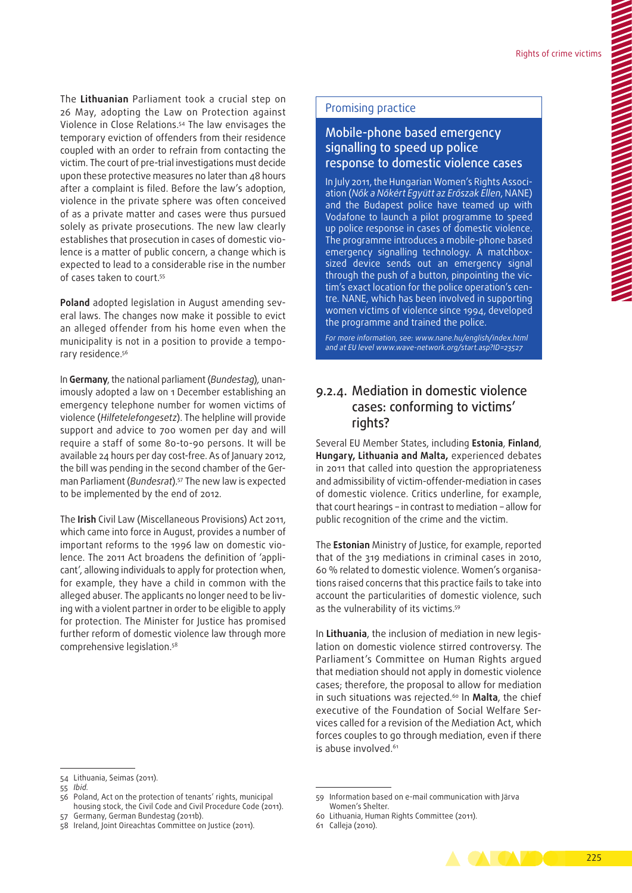The **Lithuanian** Parliament took a crucial step on 26 May, adopting the Law on Protection against Violence in Close Relations.54 The law envisages the temporary eviction of offenders from their residence coupled with an order to refrain from contacting the victim. The court of pre-trial investigations must decide upon these protective measures no later than 48 hours after a complaint is filed. Before the law's adoption, violence in the private sphere was often conceived of as a private matter and cases were thus pursued solely as private prosecutions. The new law clearly establishes that prosecution in cases of domestic violence is a matter of public concern, a change which is expected to lead to a considerable rise in the number of cases taken to court.55

Poland adopted legislation in August amending several laws. The changes now make it possible to evict an alleged offender from his home even when the municipality is not in a position to provide a temporary residence.<sup>56</sup>

In **Germany**, the national parliament (*Bundestag*)*,* unan‑ imously adopted a law on 1 December establishing an emergency telephone number for women victims of violence (*Hilfetelefongesetz*). The helpline will provide support and advice to 700 women per day and will require a staff of some 80-to-90 persons. It will be available 24 hours per day cost‑free. As of January 2012, the bill was pending in the second chamber of the German Parliament (*Bundesrat*).57 The new law is expected to be implemented by the end of 2012.

The **Irish** Civil Law (Miscellaneous Provisions) Act 2011, which came into force in August, provides a number of important reforms to the 1996 law on domestic violence. The 2011 Act broadens the definition of 'applicant', allowing individuals to apply for protection when, for example, they have a child in common with the alleged abuser. The applicants no longer need to be living with a violent partner in order to be eligible to apply for protection. The Minister for Justice has promised further reform of domestic violence law through more comprehensive legislation.58

#### Promising practice

#### Mobile‑phone based emergency signalling to speed up police response to domestic violence cases

In July 2011, the Hungarian Women's Rights Association (*Nők a Nőkért Együtt az Erőszak Ellen*, NANE) and the Budapest police have teamed up with Vodafone to launch a pilot programme to speed up police response in cases of domestic violence. The programme introduces a mobile‑phone based emergency signalling technology. A matchboxsized device sends out an emergency signal through the push of a button, pinpointing the victim's exact location for the police operation's centre. NANE, which has been involved in supporting women victims of violence since 1994, developed the programme and trained the police.

*For more information, see: [www.nane.hu/english/index.html](http://www.nane.hu/english/index.html) and at EU level [www.wave‑network.org/start.asp?ID=23527](http://www.wave<2011>network.org/start.asp?ID=23527)*

#### 9.2.4. Mediation in domestic violence cases: conforming to victims' rights?

Several EU Member States, including **Estonia**, **Finland**, **Hungary, Lithuania and Malta,** experienced debates in 2011 that called into question the appropriateness and admissibility of victim‑offender‑mediation in cases of domestic violence. Critics underline, for example, that court hearings – in contrast to mediation – allow for public recognition of the crime and the victim.

The **Estonian** Ministry of Justice, for example, reported that of the 319 mediations in criminal cases in 2010, 60 % related to domestic violence. Women's organisa‑ tions raised concerns that this practice fails to take into account the particularities of domestic violence, such as the vulnerability of its victims.59

In Lithuania, the inclusion of mediation in new legislation on domestic violence stirred controversy. The Parliament's Committee on Human Rights argued that mediation should not apply in domestic violence cases; therefore, the proposal to allow for mediation in such situations was rejected.<sup>60</sup> In Malta, the chief executive of the Foundation of Social Welfare Services called for a revision of the Mediation Act, which forces couples to go through mediation, even if there is abuse involved.<sup>61</sup>



<sup>54</sup> Lithuania, Seimas (2011).

<sup>55</sup> *Ibid.*

<sup>56</sup> Poland, Act on the protection of tenants' rights, municipal housing stock, the Civil Code and Civil Procedure Code (2011).

<sup>57</sup> Germany, German Bundestag (2011b).

<sup>58</sup> Ireland, Joint Oireachtas Committee on Justice (2011).

<sup>59</sup> Information based on e‑mail communication with Järva Women's Shelter.

<sup>60</sup> Lithuania, Human Rights Committee (2011).

<sup>61</sup> Calleja (2010).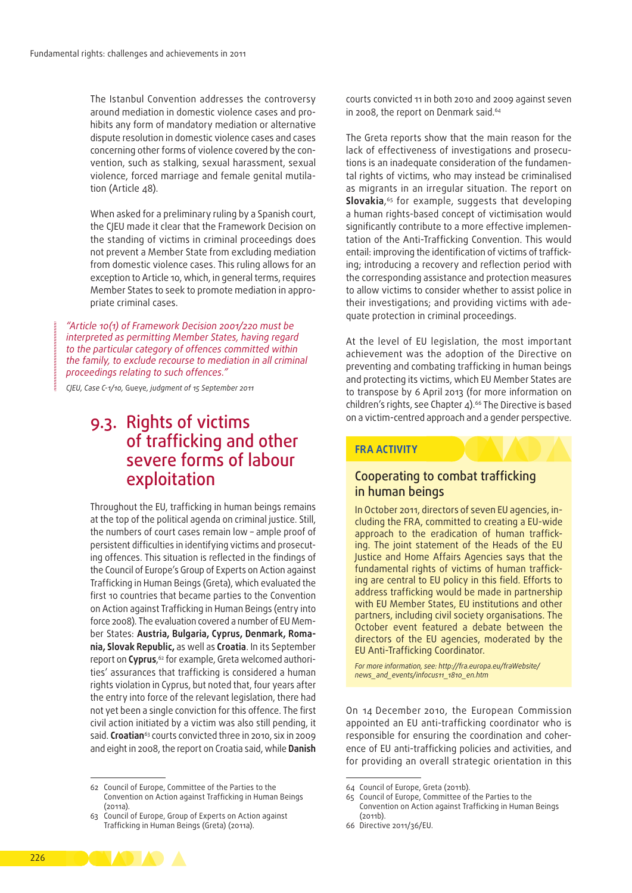The Istanbul Convention addresses the controversy around mediation in domestic violence cases and prohibits any form of mandatory mediation or alternative dispute resolution in domestic violence cases and cases concerning other forms of violence covered by the convention, such as stalking, sexual harassment, sexual violence, forced marriage and female genital mutilation (Article 48).

When asked for a preliminary ruling by a Spanish court, the CJEU made it clear that the Framework Decision on the standing of victims in criminal proceedings does not prevent a Member State from excluding mediation from domestic violence cases. This ruling allows for an exception to Article 10, which, in general terms, requires Member States to seek to promote mediation in appropriate criminal cases.

*"Article 10(1) of Framework Decision 2001/220 must be interpreted as permitting Member States, having regard to the particular category of offences committed within the family, to exclude recourse to mediation in all criminal proceedings relating to such offences."*

*CJEU, Case C-1/10,* Gueye*, judgment of 15 September 2011*

# 9.3. Rights of victims of trafficking and other severe forms of labour exploitation

Throughout the EU, trafficking in human beings remains at the top of the political agenda on criminal justice. Still, the numbers of court cases remain low – ample proof of persistent difficulties in identifying victims and prosecuting offences. This situation is reflected in the findings of the Council of Europe's Group of Experts on Action against Trafficking in Human Beings (Greta), which evaluated the first 10 countries that became parties to the Convention on Action against Trafficking in Human Beings (entry into force 2008). The evaluation covered a number of EU Member States: **Austria, Bulgaria, Cyprus, Denmark, Roma‑ nia, Slovak Republic,** as well as **Croatia**. In its September report on **Cyprus**,<sup>62</sup> for example, Greta welcomed authorities' assurances that trafficking is considered a human rights violation in Cyprus, but noted that, four years after the entry into force of the relevant legislation, there had not yet been a single conviction for this offence. The first civil action initiated by a victim was also still pending, it said. **Croatian**<sup>63</sup> courts convicted three in 2010, six in 2009 and eight in 2008, the report on Croatia said, while **Danish** 

courts convicted 11 in both 2010 and 2009 against seven in 2008, the report on Denmark said.<sup>64</sup>

The Greta reports show that the main reason for the lack of effectiveness of investigations and prosecutions is an inadequate consideration of the fundamental rights of victims, who may instead be criminalised as migrants in an irregular situation. The report on **Slovakia**, <sup>65</sup> for example, suggests that developing a human rights-based concept of victimisation would significantly contribute to a more effective implementation of the Anti-Trafficking Convention. This would entail: improving the identification of victims of trafficking; introducing a recovery and reflection period with the corresponding assistance and protection measures to allow victims to consider whether to assist police in their investigations; and providing victims with ade‑ quate protection in criminal proceedings.

At the level of EU legislation, the most important achievement was the adoption of the Directive on preventing and combating trafficking in human beings and protecting its victims, which EU Member States are to transpose by 6 April 2013 (for more information on children's rights, see Chapter 4).<sup>66</sup> The Directive is based on a victim‑centred approach and a gender perspective.

#### **FRA ACTIVITY**

#### Cooperating to combat trafficking in human beings

In October 2011, directors of seven EU agencies, including the FRA, committed to creating a EU‑wide approach to the eradication of human trafficking. The joint statement of the Heads of the EU Justice and Home Affairs Agencies says that the fundamental rights of victims of human trafficking are central to EU policy in this field. Efforts to address trafficking would be made in partnership with EU Member States, EU institutions and other partners, including civil society organisations. The October event featured a debate between the directors of the EU agencies, moderated by the EU Anti‑Trafficking Coordinator.

*For more information, see: [http://fra.europa.eu/fraWebsite/](http://fra.europa.eu/fraWebsite/news_and_events/infocus11_1810_en.htm) [news\\_and\\_events/infocus11\\_1810\\_en.htm](http://fra.europa.eu/fraWebsite/news_and_events/infocus11_1810_en.htm)*

On 14 December 2010, the European Commission appointed an EU anti-trafficking coordinator who is responsible for ensuring the coordination and coherence of EU anti-trafficking policies and activities, and for providing an overall strategic orientation in this



<sup>62</sup> Council of Europe, Committee of the Parties to the Convention on Action against Trafficking in Human Beings (2011a).

<sup>63</sup> Council of Europe, Group of Experts on Action against Trafficking in Human Beings (Greta) (2011a).

<sup>64</sup> Council of Europe, Greta (2011b).

<sup>65</sup> Council of Europe, Committee of the Parties to the Convention on Action against Trafficking in Human Beings (2011b).

<sup>66</sup> Directive 2011/36/EU.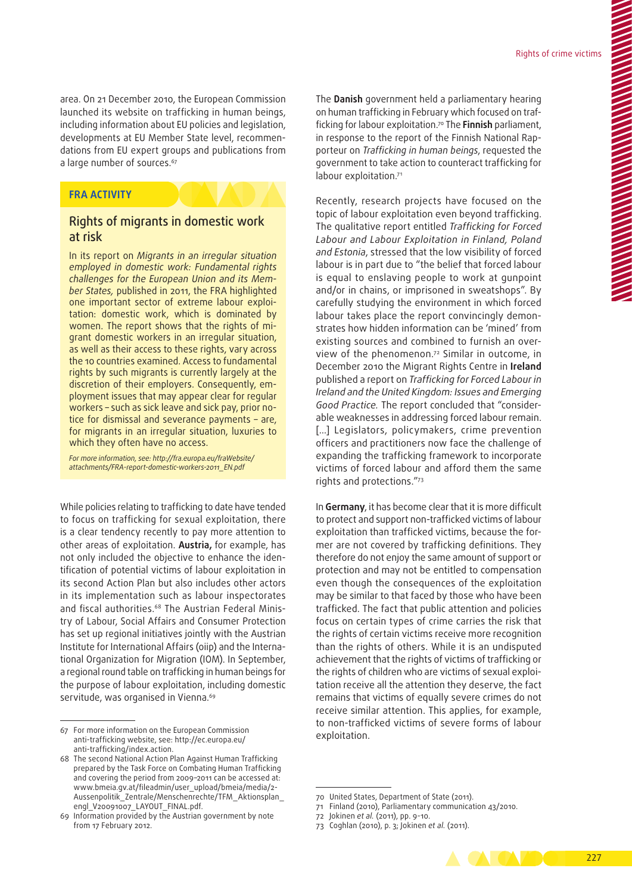area. On 21 December 2010, the European Commission launched its website on trafficking in human beings, including information about EU policies and legislation, developments at EU Member State level, recommendations from EU expert groups and publications from a large number of sources.<sup>67</sup>

#### **FRA ACTIVITY**

#### Rights of migrants in domestic work at risk

In its report on *Migrants in an irregular situation employed in domestic work: Fundamental rights challenges for the European Union and its Mem‑ ber States,* published in 2011, the FRA highlighted one important sector of extreme labour exploitation: domestic work, which is dominated by women. The report shows that the rights of migrant domestic workers in an irregular situation, as well as their access to these rights, vary across the 10 countries examined. Access to fundamental rights by such migrants is currently largely at the discretion of their employers. Consequently, employment issues that may appear clear for regular workers – such as sick leave and sick pay, prior notice for dismissal and severance payments – are, for migrants in an irregular situation, luxuries to which they often have no access.

*For more information, see: [http://fra.europa.eu/fraWebsite/](http://fra.europa.eu/fraWebsite/attachments/FRA-report-domestic-workers-2011_EN.pdf) [attachments/FRA‑report‑domestic‑workers-2011\\_EN.pdf](http://fra.europa.eu/fraWebsite/attachments/FRA-report-domestic-workers-2011_EN.pdf)*

While policies relating to trafficking to date have tended to focus on trafficking for sexual exploitation, there is a clear tendency recently to pay more attention to other areas of exploitation. **Austria,** for example, has not only included the objective to enhance the identification of potential victims of labour exploitation in its second Action Plan but also includes other actors in its implementation such as labour inspectorates and fiscal authorities.<sup>68</sup> The Austrian Federal Ministry of Labour, Social Affairs and Consumer Protection has set up regional initiatives jointly with the Austrian Institute for International Affairs (oiip) and the International Organization for Migration (IOM). In September, a regional round table on trafficking in human beings for the purpose of labour exploitation, including domestic servitude, was organised in Vienna.<sup>69</sup>

The **Danish** government held a parliamentary hearing on human trafficking in February which focused on trafficking for labour exploitation.70 The **Finnish** parliament, in response to the report of the Finnish National Rapporteur on *Trafficking in human beings*, requested the government to take action to counteract trafficking for labour exploitation.<sup>71</sup>

Recently, research projects have focused on the topic of labour exploitation even beyond trafficking. The qualitative report entitled *Trafficking for Forced Labour and Labour Exploitation in Finland, Poland and Estonia*, stressed that the low visibility of forced labour is in part due to "the belief that forced labour is equal to enslaving people to work at gunpoint and/or in chains, or imprisoned in sweatshops". By carefully studying the environment in which forced labour takes place the report convincingly demonstrates how hidden information can be 'mined' from existing sources and combined to furnish an overview of the phenomenon.72 Similar in outcome, in December 2010 the Migrant Rights Centre in **Ireland** published a report on *Trafficking for Forced Labour in Ireland and the United Kingdom: Issues and Emerging Good Practice.* The report concluded that "consider‑ able weaknesses in addressing forced labour remain. [...] Legislators, policymakers, crime prevention officers and practitioners now face the challenge of expanding the trafficking framework to incorporate victims of forced labour and afford them the same rights and protections."73

In **Germany**, it has become clear that it is more difficult to protect and support non‑trafficked victims of labour exploitation than trafficked victims, because the former are not covered by trafficking definitions. They therefore do not enjoy the same amount of support or protection and may not be entitled to compensation even though the consequences of the exploitation may be similar to that faced by those who have been trafficked. The fact that public attention and policies focus on certain types of crime carries the risk that the rights of certain victims receive more recognition than the rights of others. While it is an undisputed achievement that the rights of victims of trafficking or the rights of children who are victims of sexual exploitation receive all the attention they deserve, the fact remains that victims of equally severe crimes do not receive similar attention. This applies, for example, to non‑trafficked victims of severe forms of labour exploitation.

<sup>73</sup> Coghlan (2010), p. 3; Jokinen *et al.* (2011).



<sup>67</sup> For more information on the European Commission anti‑trafficking website, see: [http://ec.europa.eu/](http://ec.europa.eu/anti-trafficking/index.action) anti-trafficking/index.action.

<sup>68</sup> The second National Action Plan Against Human Trafficking prepared by the Task Force on Combating Human Trafficking and covering the period from 2009–2011 can be accessed at: [www.bmeia.gv.at/fileadmin/user\\_upload/bmeia/media/2-](http://www.bmeia.gv.at/fileadmin/user_upload/bmeia/media/2-Aussenpolitik_Zentrale/Menschenrechte/TFM_Aktionsplan_engl_V20091007_LAYOUT_FINAL.pdf)[Aussenpolitik\\_Zentrale/Menschenrechte/TFM\\_Aktionsplan\\_](http://www.bmeia.gv.at/fileadmin/user_upload/bmeia/media/2-Aussenpolitik_Zentrale/Menschenrechte/TFM_Aktionsplan_engl_V20091007_LAYOUT_FINAL.pdf) [engl\\_V20091007\\_LAYOUT\\_FINAL.pdf.](http://www.bmeia.gv.at/fileadmin/user_upload/bmeia/media/2-Aussenpolitik_Zentrale/Menschenrechte/TFM_Aktionsplan_engl_V20091007_LAYOUT_FINAL.pdf)

<sup>69</sup> Information provided by the Austrian government by note from 17 February 2012.

<sup>70</sup> United States, Department of State (2011).

<sup>71</sup> Finland (2010), Parliamentary communication 43/2010.

<sup>72</sup> Jokinen *et al.* (2011), pp. 9-10.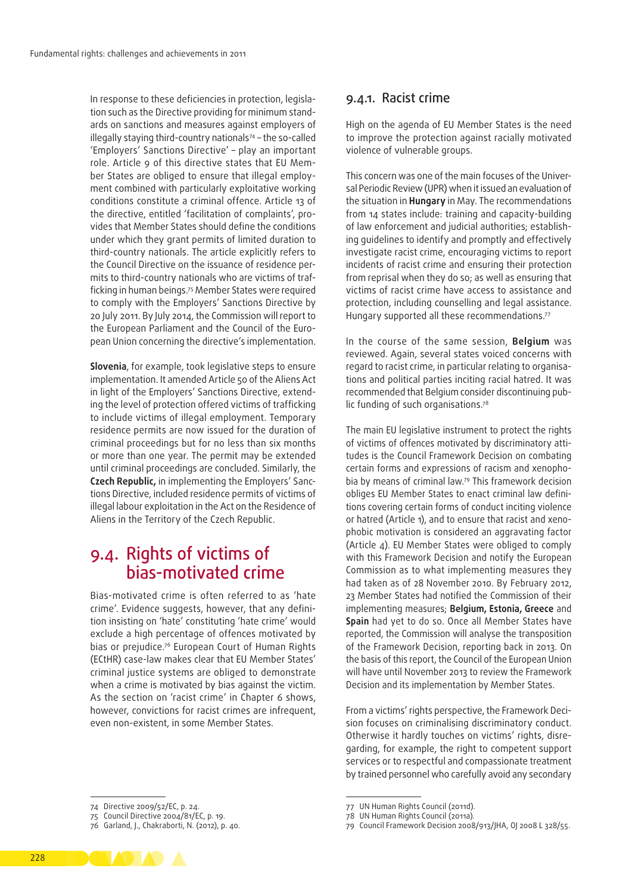In response to these deficiencies in protection, legislation such as the Directive providing for minimum standards on sanctions and measures against employers of illegally staying third-country nationals<sup>74</sup> – the so-called 'Employers' Sanctions Directive' – play an important role. Article 9 of this directive states that EU Member States are obliged to ensure that illegal employment combined with particularly exploitative working conditions constitute a criminal offence. Article 13 of the directive, entitled 'facilitation of complaints', provides that Member States should define the conditions under which they grant permits of limited duration to third‑country nationals. The article explicitly refers to the Council Directive on the issuance of residence permits to third-country nationals who are victims of trafficking in human beings.75 Member States were required to comply with the Employers' Sanctions Directive by 20 July 2011. By July 2014, the Commission will report to the European Parliament and the Council of the European Union concerning the directive's implementation.

**Slovenia**, for example, took legislative steps to ensure implementation. It amended Article 50 of the Aliens Act in light of the Employers' Sanctions Directive, extending the level of protection offered victims of trafficking to include victims of illegal employment. Temporary residence permits are now issued for the duration of criminal proceedings but for no less than six months or more than one year. The permit may be extended until criminal proceedings are concluded. Similarly, the **Czech Republic,** in implementing the Employers' Sanc‑ tions Directive, included residence permits of victims of illegal labour exploitation in the Act on the Residence of Aliens in the Territory of the Czech Republic.

# 9.4. Rights of victims of bias‑motivated crime

Bias‑motivated crime is often referred to as 'hate crime'. Evidence suggests, however, that any definition insisting on 'hate' constituting 'hate crime' would exclude a high percentage of offences motivated by bias or prejudice.76 European Court of Human Rights (ECtHR) case‑law makes clear that EU Member States' criminal justice systems are obliged to demonstrate when a crime is motivated by bias against the victim. As the section on 'racist crime' in Chapter 6 shows, however, convictions for racist crimes are infrequent, even non‑existent, in some Member States.

#### 9.4.1. Racist crime

High on the agenda of EU Member States is the need to improve the protection against racially motivated violence of vulnerable groups.

This concern was one of the main focuses of the Universal Periodic Review (UPR) when it issued an evaluation of the situation in **Hungary** in May. The recommendations from 14 states include: training and capacity-building of law enforcement and judicial authorities; establishing guidelines to identify and promptly and effectively investigate racist crime, encouraging victims to report incidents of racist crime and ensuring their protection from reprisal when they do so; as well as ensuring that victims of racist crime have access to assistance and protection, including counselling and legal assistance. Hungary supported all these recommendations.77

In the course of the same session, **Belgium** was reviewed. Again, several states voiced concerns with regard to racist crime, in particular relating to organisations and political parties inciting racial hatred. It was recommended that Belgium consider discontinuing pub‑ lic funding of such organisations.78

The main EU legislative instrument to protect the rights of victims of offences motivated by discriminatory attitudes is the Council Framework Decision on combating certain forms and expressions of racism and xenophobia by means of criminal law.79 This framework decision obliges EU Member States to enact criminal law definitions covering certain forms of conduct inciting violence or hatred (Article 1), and to ensure that racist and xenophobic motivation is considered an aggravating factor (Article 4). EU Member States were obliged to comply with this Framework Decision and notify the European Commission as to what implementing measures they had taken as of 28 November 2010. By February 2012, 23 Member States had notified the Commission of their implementing measures; **Belgium, Estonia, Greece** and **Spain** had yet to do so. Once all Member States have reported, the Commission will analyse the transposition of the Framework Decision, reporting back in 2013. On the basis of this report, the Council of the European Union will have until November 2013 to review the Framework Decision and its implementation by Member States.

From a victims' rights perspective, the Framework Deci‑ sion focuses on criminalising discriminatory conduct. Otherwise it hardly touches on victims' rights, disregarding, for example, the right to competent support services or to respectful and compassionate treatment by trained personnel who carefully avoid any secondary

228

<sup>74</sup> Directive 2009/52/EC, p. 24.

<sup>75</sup> Council Directive 2004/81/EC, p. 19.

<sup>76</sup> Garland, J., Chakraborti, N. (2012), p. 40.

<sup>77</sup> UN Human Rights Council (2011d).

<sup>78</sup> UN Human Rights Council (2011a).

<sup>79</sup> Council Framework Decision 2008/913/JHA, OJ 2008 L 328/55.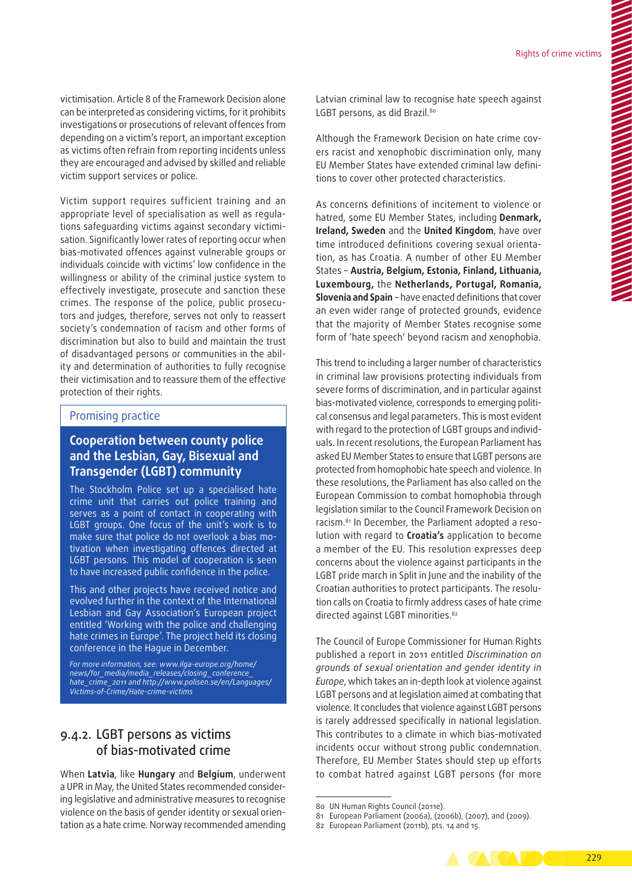victimisation. Article 8 of the Framework Decision alone can be interpreted as considering victims, for it prohibits investigations or prosecutions of relevant offences from depending on a victim's report, an important exception as victims often refrain from reporting incidents unless they are encouraged and advised by skilled and reliable victim support services or police.

Victim support requires sufficient training and an appropriate level of specialisation as well as regulations safequarding victims against secondary victimisation. Significantly lower rates of reporting occur when bias‑motivated offences against vulnerable groups or individuals coincide with victims' low confidence in the willingness or ability of the criminal justice system to effectively investigate, prosecute and sanction these crimes. The response of the police, public prosecutors and judges, therefore, serves not only to reassert society's condemnation of racism and other forms of discrimination but also to build and maintain the trust of disadvantaged persons or communities in the ability and determination of authorities to fully recognise their victimisation and to reassure them of the effective protection of their rights.

#### Promising practice

#### **Cooperation between county police and the Lesbian, Gay, Bisexual and Transgender (LGBT) community**

The Stockholm Police set up a specialised hate crime unit that carries out police training and serves as a point of contact in cooperating with LGBT groups. One focus of the unit's work is to make sure that police do not overlook a bias motivation when investigating offences directed at LGBT persons. This model of cooperation is seen to have increased public confidence in the police.

This and other projects have received notice and evolved further in the context of the International Lesbian and Gay Association's European project entitled 'Working with the police and challenging hate crimes in Europe'. The project held its closing conference in the Hague in December.

*For more information, see: [www.ilga‑europe.org/home/](http://www.ilga-europe.org/home/news/for_media/media_releases/closing_conference_hate_crime_2011) [news/for\\_media/media\\_releases/closing\\_conference\\_](http://www.ilga-europe.org/home/news/for_media/media_releases/closing_conference_hate_crime_2011) [hate\\_crime\\_2011](http://www.ilga-europe.org/home/news/for_media/media_releases/closing_conference_hate_crime_2011) and [http://www.polisen.se/en/Languages/](http://www.polisen.se/en/Languages/Victims-of-Crime/Hate-crime-victims/) [Victims‑of‑Crime/Hate‑crime‑victims](http://www.polisen.se/en/Languages/Victims-of-Crime/Hate-crime-victims/)*

#### 9.4.2. LGBT persons as victims of bias‑motivated crime

When **Latvia**, like **Hungary** and **Belgium**, underwent a UPR in May, the United States recommended considering legislative and administrative measures to recognise violence on the basis of gender identity or sexual orientation as a hate crime. Norway recommended amending Latvian criminal law to recognise hate speech against LGBT persons, as did Brazil.80

Although the Framework Decision on hate crime covers racist and xenophobic discrimination only, many EU Member States have extended criminal law definitions to cover other protected characteristics.

As concerns definitions of incitement to violence or hatred, some EU Member States, including **Denmark, Ireland, Sweden** and the **United Kingdom**, have over time introduced definitions covering sexual orientation, as has Croatia. A number of other EU Member States – **Austria, Belgium, Estonia, Finland, Lithuania, Luxembourg,** the **Netherlands, Portugal, Romania, Slovenia and Spain** – have enacted definitions that cover an even wider range of protected grounds, evidence that the majority of Member States recognise some form of 'hate speech' beyond racism and xenophobia.

This trend to including a larger number of characteristics in criminal law provisions protecting individuals from severe forms of discrimination, and in particular against bias-motivated violence, corresponds to emerging political consensus and legal parameters. This is most evident with regard to the protection of LGBT groups and individuals. In recent resolutions, the European Parliament has asked EU Member States to ensure that LGBT persons are protected from homophobic hate speech and violence. In these resolutions, the Parliament has also called on the European Commission to combat homophobia through legislation similar to the Council Framework Decision on racism.<sup>81</sup> In December, the Parliament adopted a resolution with regard to **Croatia's** application to become a member of the EU. This resolution expresses deep concerns about the violence against participants in the LGBT pride march in Split in June and the inability of the Croatian authorities to protect participants. The resolution calls on Croatia to firmly address cases of hate crime directed against LGBT minorities.<sup>82</sup>

The Council of Europe Commissioner for Human Rights published a report in 2011 entitled *Discrimination on grounds of sexual orientation and gender identity in Europe*, which takes an in‑depth look at violence against LGBT persons and at legislation aimed at combating that violence. It concludes that violence against LGBT persons is rarely addressed specifically in national legislation. This contributes to a climate in which bias‑motivated incidents occur without strong public condemnation. Therefore, EU Member States should step up efforts to combat hatred against LGBT persons (for more

<sup>82</sup> European Parliament (2011b), pts. 14 and 15.



<sup>80</sup> UN Human Rights Council (2011e).

<sup>81</sup> European Parliament (2006a), (2006b), (2007), and (2009).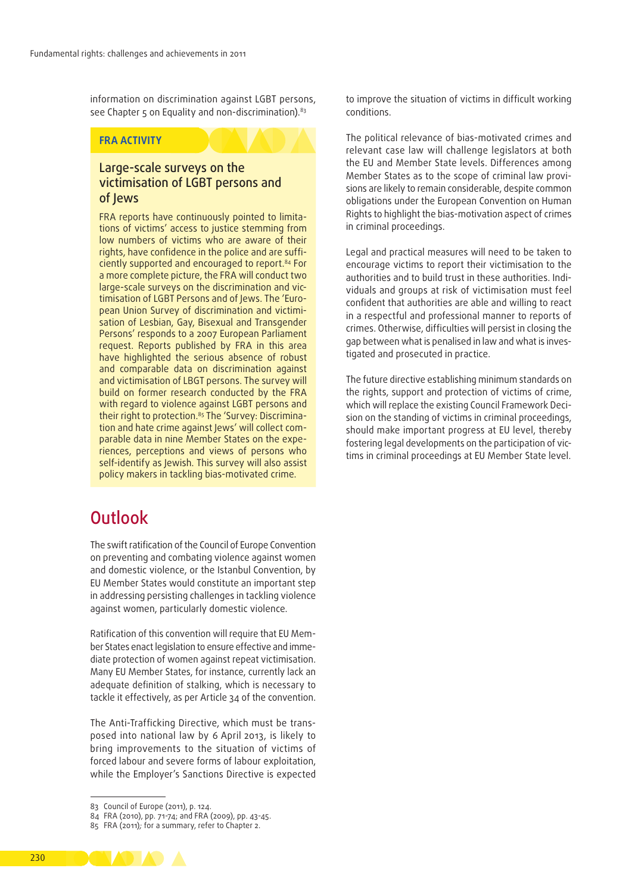information on discrimination against LGBT persons, see Chapter 5 on Equality and non-discrimination).<sup>83</sup>

#### **FRA ACTIVITY**

#### Large‑scale surveys on the victimisation of LGBT persons and of Jews

FRA reports have continuously pointed to limitations of victims' access to justice stemming from low numbers of victims who are aware of their rights, have confidence in the police and are sufficiently supported and encouraged to report.84 For a more complete picture, the FRA will conduct two large-scale surveys on the discrimination and victimisation of LGBT Persons and of Jews. The 'European Union Survey of discrimination and victimisation of Lesbian, Gay, Bisexual and Transgender Persons' responds to a 2007 European Parliament request. Reports published by FRA in this area have highlighted the serious absence of robust and comparable data on discrimination against and victimisation of LBGT persons. The survey will build on former research conducted by the FRA with regard to violence against LGBT persons and their right to protection.<sup>85</sup> The 'Survey: Discrimination and hate crime against Jews' will collect comparable data in nine Member States on the experiences, perceptions and views of persons who self-identify as Jewish. This survey will also assist policy makers in tackling bias‑motivated crime.

# **Outlook**

The swift ratification of the Council of Europe Convention on preventing and combating violence against women and domestic violence, or the Istanbul Convention, by EU Member States would constitute an important step in addressing persisting challenges in tackling violence against women, particularly domestic violence.

Ratification of this convention will require that EU Member States enact legislation to ensure effective and immediate protection of women against repeat victimisation. Many EU Member States, for instance, currently lack an adequate definition of stalking, which is necessary to tackle it effectively, as per Article 34 of the convention.

The Anti-Trafficking Directive, which must be transposed into national law by 6 April 2013, is likely to bring improvements to the situation of victims of forced labour and severe forms of labour exploitation, while the Employer's Sanctions Directive is expected

to improve the situation of victims in difficult working conditions.

The political relevance of bias‑motivated crimes and relevant case law will challenge legislators at both the EU and Member State levels. Differences among Member States as to the scope of criminal law provisions are likely to remain considerable, despite common obligations under the European Convention on Human Rights to highlight the bias‑motivation aspect of crimes in criminal proceedings.

Legal and practical measures will need to be taken to encourage victims to report their victimisation to the authorities and to build trust in these authorities. Individuals and groups at risk of victimisation must feel confident that authorities are able and willing to react in a respectful and professional manner to reports of crimes. Otherwise, difficulties will persist in closing the gap between what is penalised in law and what is investigated and prosecuted in practice.

The future directive establishing minimum standards on the rights, support and protection of victims of crime, which will replace the existing Council Framework Decision on the standing of victims in criminal proceedings, should make important progress at EU level, thereby fostering legal developments on the participation of victims in criminal proceedings at EU Member State level.



<sup>83</sup> Council of Europe (2011), p. 124.

<sup>84</sup> FRA (2010), pp. 71-74; and FRA (2009), pp. 43-45.

<sup>85</sup> FRA (2011)*;* for a summary, refer to Chapter 2.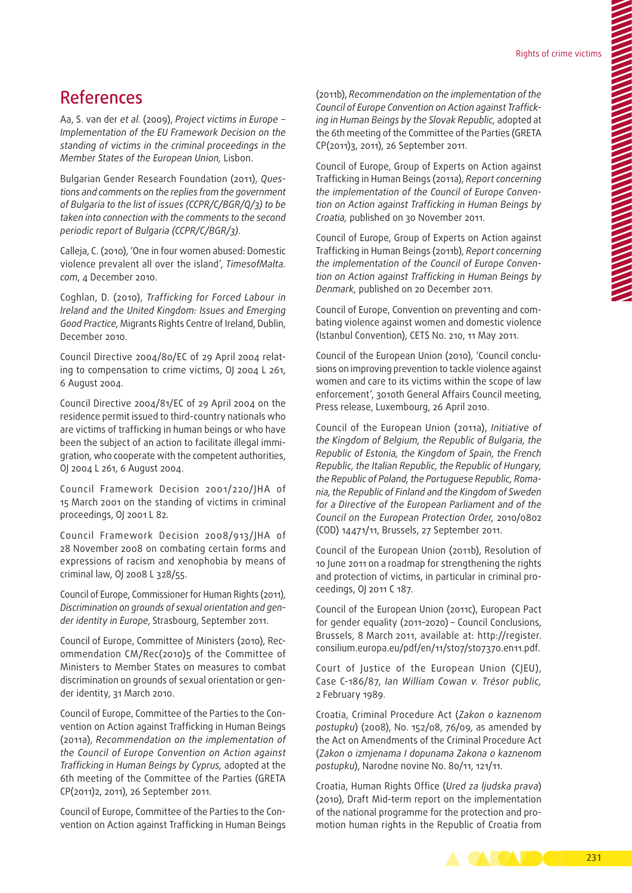# References

Aa, S. van der *et al.* (2009), *Project victims in Europe − Implementation of the EU Framework Decision on the standing of victims in the criminal proceedings in the Member States of the European Union,* Lisbon.

Bulgarian Gender Research Foundation (2011), *Ques‑ tions and comments on the replies from the government of Bulgaria to the list of issues (CCPR/C/BGR/Q/3) to be taken into connection with the comments to the second periodic report of Bulgaria (CCPR/C/BGR/3)*.

Calleja, C. (2010), 'One in four women abused: Domestic violence prevalent all over the island', *TimesofMalta. com*, 4 December 2010.

Coghlan, D. (2010), *Trafficking for Forced Labour in Ireland and the United Kingdom: Issues and Emerging Good Practice*, Migrants Rights Centre of Ireland, Dublin, December 2010.

Council Directive 2004/80/EC of 29 April 2004 relat‑ ing to compensation to crime victims, OJ 2004 L 261, 6 August 2004.

Council Directive 2004/81/EC of 29 April 2004 on the residence permit issued to third‑country nationals who are victims of trafficking in human beings or who have been the subject of an action to facilitate illegal immigration, who cooperate with the competent authorities, OJ 2004 L 261, 6 August 2004.

Council Framework Decision 2001/220/JHA of 15 March 2001 on the standing of victims in criminal proceedings, OJ 2001 L 82.

Council Framework Decision 2008/913/JHA of 28 November 2008 on combating certain forms and expressions of racism and xenophobia by means of criminal law, OJ 2008 L 328/55.

Council of Europe, Commissioner for Human Rights (2011), *Discrimination on grounds of sexual orientation and gen‑ der identity in Europe*, Strasbourg, September 2011.

Council of Europe, Committee of Ministers (2010), Rec‑ ommendation CM/Rec(2010)5 of the Committee of Ministers to Member States on measures to combat discrimination on grounds of sexual orientation or gender identity, 31 March 2010.

Council of Europe, Committee of the Parties to the Convention on Action against Trafficking in Human Beings (2011a), *Recommendation on the implementation of the Council of Europe Convention on Action against Trafficking in Human Beings by Cyprus,* adopted at the 6th meeting of the Committee of the Parties (GRETA CP(2011)2, 2011), 26 September 2011.

Council of Europe, Committee of the Parties to the Convention on Action against Trafficking in Human Beings

(2011b), *Recommendation on the implementation of the Council of Europe Convention on Action against Traffick‑ ing in Human Beings by the Slovak Republic,* adopted at the 6th meeting of the Committee of the Parties (GRETA CP(2011)3, 2011), 26 September 2011.

Council of Europe, Group of Experts on Action against Trafficking in Human Beings (2011a), *Report concerning the implementation of the Council of Europe Conven‑ tion on Action against Trafficking in Human Beings by Croatia,* published on 30 November 2011.

Council of Europe, Group of Experts on Action against Trafficking in Human Beings (2011b), *Report concerning the implementation of the Council of Europe Conven‑ tion on Action against Trafficking in Human Beings by Denmark,* published on 20 December 2011.

Council of Europe, Convention on preventing and combating violence against women and domestic violence (Istanbul Convention), CETS No. 210, 11 May 2011.

Council of the European Union (2010), 'Council conclusions on improving prevention to tackle violence against women and care to its victims within the scope of law enforcement', 3010th General Affairs Council meeting, Press release, Luxembourg, 26 April 2010.

Council of the European Union (2011a), *Initiative of the Kingdom of Belgium, the Republic of Bulgaria, the Republic of Estonia, the Kingdom of Spain, the French Republic, the Italian Republic, the Republic of Hungary, the Republic of Poland, the Portuguese Republic, Roma‑ nia, the Republic of Finland and the Kingdom of Sweden for a Directive of the European Parliament and of the Council on the European Protection Order,* 2010/0802 (COD) 14471/11, Brussels, 27 September 2011.

Council of the European Union (2011b), Resolution of 10 June 2011 on a roadmap for strengthening the rights and protection of victims, in particular in criminal proceedings, OJ 2011 C 187.

Council of the European Union (2011c), European Pact for gender equality (2011–2020) – Council Conclusions, Brussels, 8 March 2011, available at: [http://register.](http://register.consilium.europa.eu/pdf/en/11/st07/st07370.en11.pdf) [consilium.europa.eu/pdf/en/11/st07/st07370.en11.pdf.](http://register.consilium.europa.eu/pdf/en/11/st07/st07370.en11.pdf)

Court of Justice of the European Union (CJEU), Case C-186/87, *Ian William Cowan v. Trésor public,* 2 February 1989.

Croatia, Criminal Procedure Act (*Zakon o kaznenom postupku*) (2008), No. 152/08, 76/09, as amended by the Act on Amendments of the Criminal Procedure Act (*Zakon o izmjenama I dopunama Zakona o kaznenom postupku*), Narodne novine No. 80/11, 121/11.

Croatia, Human Rights Office (*Ured za ljudska prava*) (2010), Draft Mid‑term report on the implementation of the national programme for the protection and promotion human rights in the Republic of Croatia from

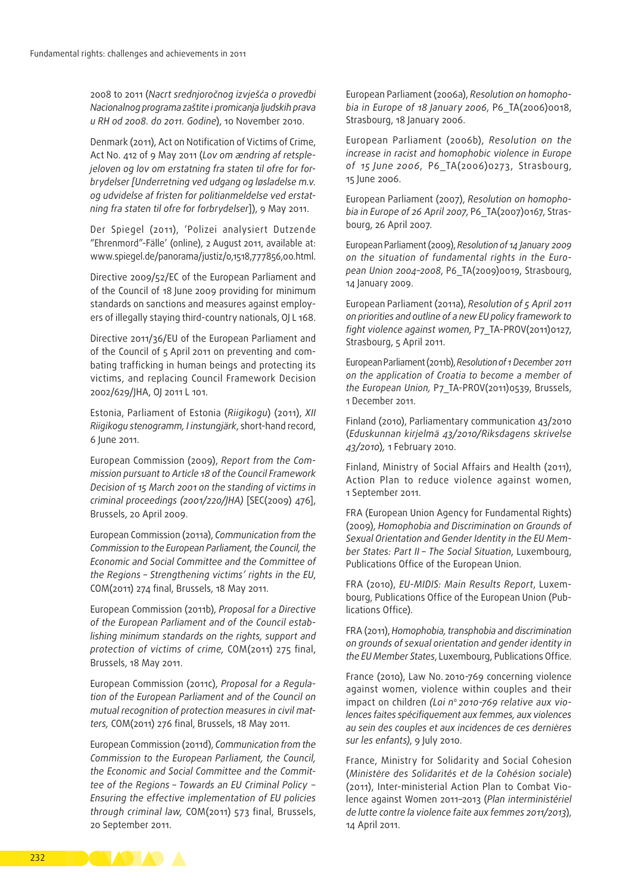2008 to 2011 (*Nacrt srednjoročnog izvješća o provedbi Nacionalnog programa zaštite i promicanja ljudskih prava u RH od 2008. do 2011. Godine*), 10 November 2010.

Denmark (2011), Act on Notification of Victims of Crime, Act No. 412 of 9 May 2011 (*Lov om ændring af retsple‑ jeloven og lov om erstatning fra staten til ofre for for‑ brydelser [Underretning ved udgang og løsladelse m.v. og udvidelse af fristen for politianmeldelse ved erstat‑ ning fra staten til ofre for forbrydelser*]), 9 May 2011.

Der Spiegel (2011), 'Polizei analysiert Dutzende "Ehrenmord"-Fälle' (online), 2 August 2011, available at: [www.spiegel.de/panorama/justiz/0,1518,777856,00.html.](http://www.spiegel.de/panorama/justiz/0,1518,777856,00.html)

Directive 2009/52/EC of the European Parliament and of the Council of 18 June 2009 providing for minimum standards on sanctions and measures against employers of illegally staying third-country nationals, OJ L 168.

Directive 2011/36/EU of the European Parliament and of the Council of 5 April 2011 on preventing and combating trafficking in human beings and protecting its victims, and replacing Council Framework Decision 2002/629/JHA, OJ 2011 L 101.

Estonia, Parliament of Estonia (*Riigikogu*) (2011), *XII Riigikogu stenogramm, I instungjärk*, short‑hand record, 6 June 2011.

European Commission (2009), *Report from the Com‑ mission pursuant to Article 18 of the Council Framework Decision of 15 March 2001 on the standing of victims in criminal proceedings (2001/220/JHA)* [SEC(2009) 476], Brussels, 20 April 2009.

European Commission (2011a), *Communication from the Commission to the European Parliament, the Council, the Economic and Social Committee and the Committee of the Regions – Strengthening victims' rights in the EU*, COM(2011) 274 final, Brussels, 18 May 2011.

European Commission (2011b), *Proposal for a Directive of the European Parliament and of the Council estab‑ lishing minimum standards on the rights, support and protection of victims of crime,* COM(2011) 275 final, Brussels, 18 May 2011.

European Commission (2011c), *Proposal for a Regula‑ tion of the European Parliament and of the Council on mutual recognition of protection measures in civil mat‑ ters,* COM(2011) 276 final, Brussels, 18 May 2011.

European Commission (2011d), *Communication from the Commission to the European Parliament, the Council, the Economic and Social Committee and the Commit‑ tee of the Regions – Towards an EU Criminal Policy − Ensuring the effective implementation of EU policies through criminal law,* COM(2011) 573 final, Brussels, 20 September 2011.

European Parliament (2006a), *Resolution on homopho‑ bia in Europe of 18 January 2006*, P6\_TA(2006)0018, Strasbourg, 18 January 2006.

European Parliament (2006b), *Resolution on the increase in racist and homophobic violence in Europe of 15 June 2006*, P6\_TA(2006)0273, Strasbourg, 15 June 2006.

European Parliament (2007), *Resolution on homopho‑ bia in Europe of 26 April 2007*, P6\_TA(2007)0167, Stras‑ bourg, 26 April 2007.

European Parliament (2009), *Resolution of 14 January 2009 on the situation of fundamental rights in the Euro‑ pean Union 2004–2008*, P6\_TA(2009)0019, Strasbourg, 14 January 2009.

European Parliament (2011a), *Resolution of 5 April 2011 on priorities and outline of a new EU policy framework to fight violence against women,* P7\_TA‑PROV(2011)0127, Strasbourg, 5 April 2011.

European Parliament (2011b), *Resolution of 1 December 2011 on the application of Croatia to become a member of the European Union,* P7\_TA‑PROV(2011)0539, Brussels, 1 December 2011.

Finland (2010), Parliamentary communication 43/2010 (*Eduskunnan kirjelmä 43/2010/Riksdagens skrivelse 43/2010*)*,* 1 February 2010.

Finland, Ministry of Social Affairs and Health (2011), Action Plan to reduce violence against women, 1 September 2011.

FRA (European Union Agency for Fundamental Rights) (2009), *Homophobia and Discrimination on Grounds of Sexual Orientation and Gender Identity in the EU Mem‑ ber States: Part II – The Social Situation*, Luxembourg, Publications Office of the European Union.

FRA (2010), *EU‑MIDIS: Main Results Report*, Luxem‑ bourg, Publications Office of the European Union (Pub‑ lications Office).

FRA (2011), *Homophobia, transphobia and discrimination on grounds of sexual orientation and gender identity in the EU Member States*, Luxembourg, Publications Office.

France (2010), Law No. 2010-769 concerning violence against women, violence within couples and their impact on children *(Loi n*<sup>o</sup>*2010-769 relative aux vio‑ lences faites spécifiquement aux femmes, aux violences au sein des couples et aux incidences de ces dernières sur les enfants)*, 9 July 2010.

France, Ministry for Solidarity and Social Cohesion (*Ministère des Solidarités et de la Cohésion sociale*) (2011), Inter-ministerial Action Plan to Combat Violence against Women 2011–2013 (*Plan interministériel de lutte contre la violence faite aux femmes 2011/2013*), 14 April 2011.

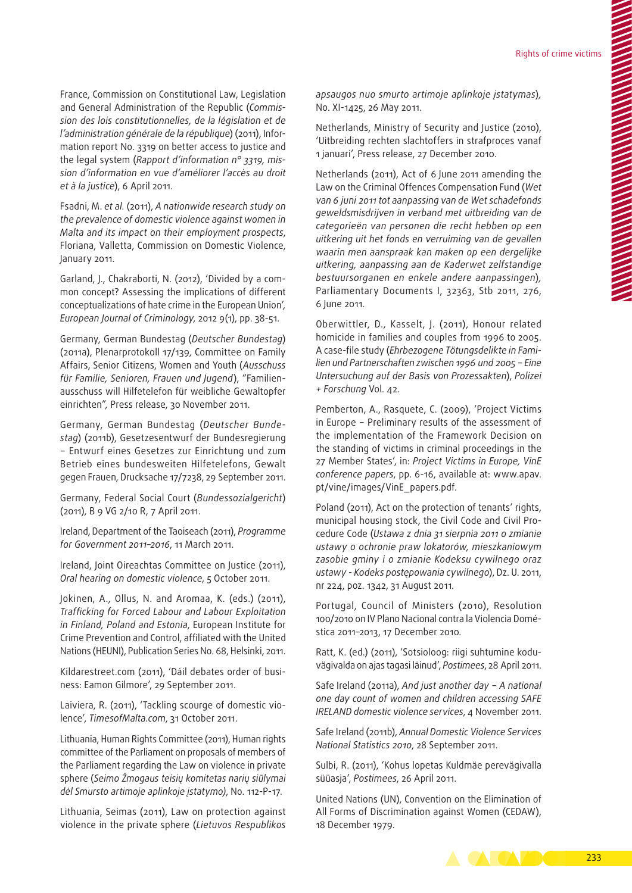France, Commission on Constitutional Law, Legislation and General Administration of the Republic (*Commis‑ sion des lois constitutionnelles, de la législation et de l'administration générale de la république*) (2011), Information report No. 3319 on better access to justice and the legal system (*Rapport d'information n° 3319, mis‑ sion d'information en vue d'améliorer l'accès au droit et à la justice*), 6 April 2011.

Fsadni, M. *et al.* (2011), *A nationwide research study on the prevalence of domestic violence against women in Malta and its impact on their employment prospects*, Floriana, Valletta, Commission on Domestic Violence, January 2011.

Garland, J., Chakraborti, N. (2012), 'Divided by a common concept? Assessing the implications of different conceptualizations of hate crime in the European Union'*, European Journal of Criminology*, 2012 9(1), pp. 38-51.

Germany, German Bundestag (*Deutscher Bundestag*) (2011a), Plenarprotokoll 17/139, Committee on Family Affairs, Senior Citizens, Women and Youth (*Ausschuss für Familie, Senioren, Frauen und Jugend*), "Familien‑ ausschuss will Hilfetelefon für weibliche Gewaltopfer einrichten"*,* Press release, 30 November 2011.

Germany, German Bundestag (*Deutscher Bunde‑ stag*) (2011b), Gesetzesentwurf der Bundesregierung − Entwurf eines Gesetzes zur Einrichtung und zum Betrieb eines bundesweiten Hilfetelefons, Gewalt gegen Frauen, Drucksache 17/7238, 29 September 2011.

Germany, Federal Social Court (*Bundessozialgericht*) (2011), B 9 VG 2/10 R, 7 April 2011.

Ireland, Department of the Taoiseach (2011), *Programme for Government 2011–2016*, 11 March 2011.

Ireland, Joint Oireachtas Committee on Justice (2011), *Oral hearing on domestic violence*, 5 October 2011.

Jokinen, A., Ollus, N. and Aromaa, K. (eds.) (2011), *Trafficking for Forced Labour and Labour Exploitation in Finland, Poland and Estonia*, European Institute for Crime Prevention and Control, affiliated with the United Nations (HEUNI), Publication Series No. 68, Helsinki, 2011.

Kildarestreet.com (2011), 'Dáil debates order of business: Eamon Gilmore', 29 September 2011.

Laiviera, R. (2011), 'Tackling scourge of domestic violence', *TimesofMalta.com*, 31 October 2011.

Lithuania, Human Rights Committee (2011), Human rights committee of the Parliament on proposals of members of the Parliament regarding the Law on violence in private sphere (*Seimo Žmogaus teisių komitetas narių siūlymai dėl Smursto artimoje aplinkoje įstatymo)*, No. 112-P-17.

Lithuania, Seimas (2011), Law on protection against violence in the private sphere (*Lietuvos Respublikos* 

*apsaugos nuo smurto artimoje aplinkoje įstatymas*)*,*  No. XI-1425, 26 May 2011.

Netherlands, Ministry of Security and Justice (2010), 'Uitbreiding rechten slachtoffers in strafproces vanaf 1 januari', Press release, 27 December 2010.

Netherlands (2011), Act of 6 June 2011 amending the Law on the Criminal Offences Compensation Fund (*Wet van 6 juni 2011 tot aanpassing van de Wet schadefonds geweldsmisdrijven in verband met uitbreiding van de categorieën van personen die recht hebben op een uitkering uit het fonds en verruiming van de gevallen waarin men aanspraak kan maken op een dergelijke uitkering, aanpassing aan de Kaderwet zelfstandige bestuursorganen en enkele andere aanpassingen*)*,*  Parliamentary Documents I, 32363, Stb 2011, 276, 6 June 2011.

Oberwittler, D., Kasselt, J. (2011), Honour related homicide in families and couples from 1996 to 2005. A case‑file study (*Ehrbezogene Tötungsdelikte in Fami‑ lien und Partnerschaften zwischen 1996 und 2005 − Eine Untersuchung auf der Basis von Prozessakten*), *Polizei + Forschung* Vol. 42.

Pemberton, A., Rasquete, C. (2009), 'Project Victims in Europe − Preliminary results of the assessment of the implementation of the Framework Decision on the standing of victims in criminal proceedings in the 27 Member States', in: *Project Victims in Europe, VinE conference papers*, pp. 6-16, available at: [www.apav.](http://www.apav.pt/vine/images/VinE_papers.pdf) [pt/vine/images/VinE\\_papers.pdf](http://www.apav.pt/vine/images/VinE_papers.pdf).

Poland (2011), Act on the protection of tenants' rights, municipal housing stock, the Civil Code and Civil Procedure Code (*Ustawa z dnia 31 sierpnia 2011 o zmianie ustawy o ochronie praw lokatorów, mieszkaniowym zasobie gminy i o zmianie Kodeksu cywilnego oraz ustawy - Kodeks postępowania cywilnego*), Dz. U. 2011, nr 224, poz. 1342, 31 August 2011*.*

Portugal, Council of Ministers (2010), Resolution 100/2010 on IV Plano Nacional contra la Violencia Domé‑ stica 2011–2013, 17 December 2010*.*

Ratt, K. (ed.) (2011), 'Sotsioloog: riigi suhtumine koduvägivalda on ajas tagasi läinud', *Postimees*, 28 April 2011.

Safe Ireland (2011a), *And just another day − A national one day count of women and children accessing SAFE IRELAND domestic violence services*, 4 November 2011.

Safe Ireland (2011b), *Annual Domestic Violence Services National Statistics 2010*, 28 September 2011.

Sulbi, R. (2011), 'Kohus lopetas Kuldmäe perevägivalla süüasja', *Postimees*, 26 April 2011.

United Nations (UN), Convention on the Elimination of All Forms of Discrimination against Women (CEDAW), 18 December 1979.

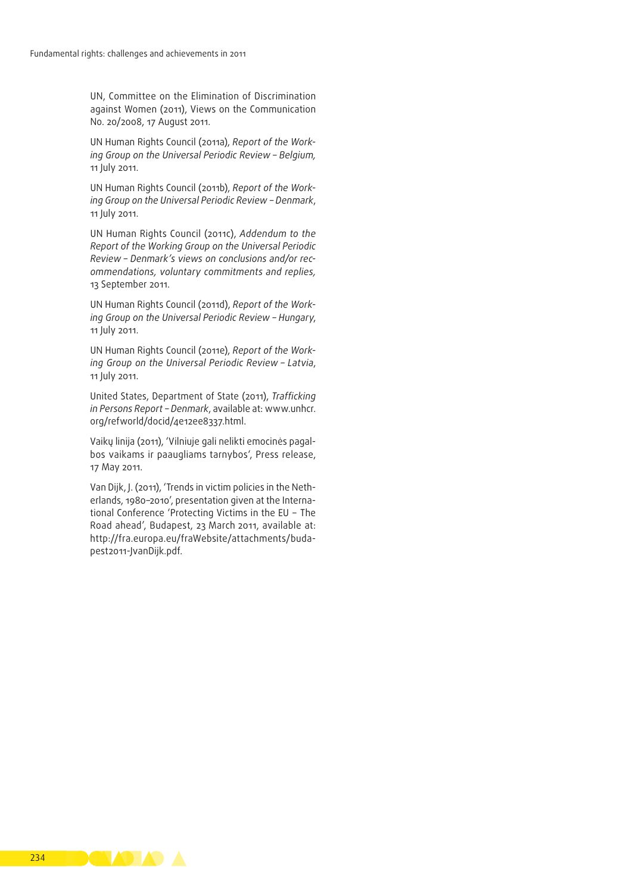UN, Committee on the Elimination of Discrimination against Women (2011), Views on the Communication No. 20/2008, 17 August 2011.

UN Human Rights Council (2011a), *Report of the Work‑ ing Group on the Universal Periodic Review – Belgium,*  11 July 2011.

UN Human Rights Council (2011b), *Report of the Work‑ ing Group on the Universal Periodic Review – Denmark*, 11 July 2011.

UN Human Rights Council (2011c), *Addendum to the Report of the Working Group on the Universal Periodic Review – Denmark's views on conclusions and/or rec‑ ommendations, voluntary commitments and replies,* 13 September 2011.

UN Human Rights Council (2011d), *Report of the Work‑ ing Group on the Universal Periodic Review – Hungary*, 11 July 2011.

UN Human Rights Council (2011e), *Report of the Work‑ ing Group on the Universal Periodic Review – Latvia*, 11 July 2011.

United States, Department of State (2011), *Trafficking in Persons Report – Denmark*, available at: [www.unhcr.](http://www.unhcr.org/refworld/docid/4e12ee8337.html) [org/refworld/docid/4e12ee8337.html.](http://www.unhcr.org/refworld/docid/4e12ee8337.html)

Vaikų linija (2011), 'Vilniuje gali nelikti emocinės pagalbos vaikams ir paaugliams tarnybos', Press release, 17 May 2011.

Van Dijk, J. (2011), 'Trends in victim policies in the Netherlands, 1980-2010', presentation given at the International Conference 'Protecting Victims in the EU − The Road ahead', Budapest, 23 March 2011, available at: http://fra.europa.eu/fraWebsite/attachments/buda[pest2011-JvanDijk.pdf.](http://fra.europa.eu/fraWebsite/attachments/budapest2011-JvanDijk.pdf)